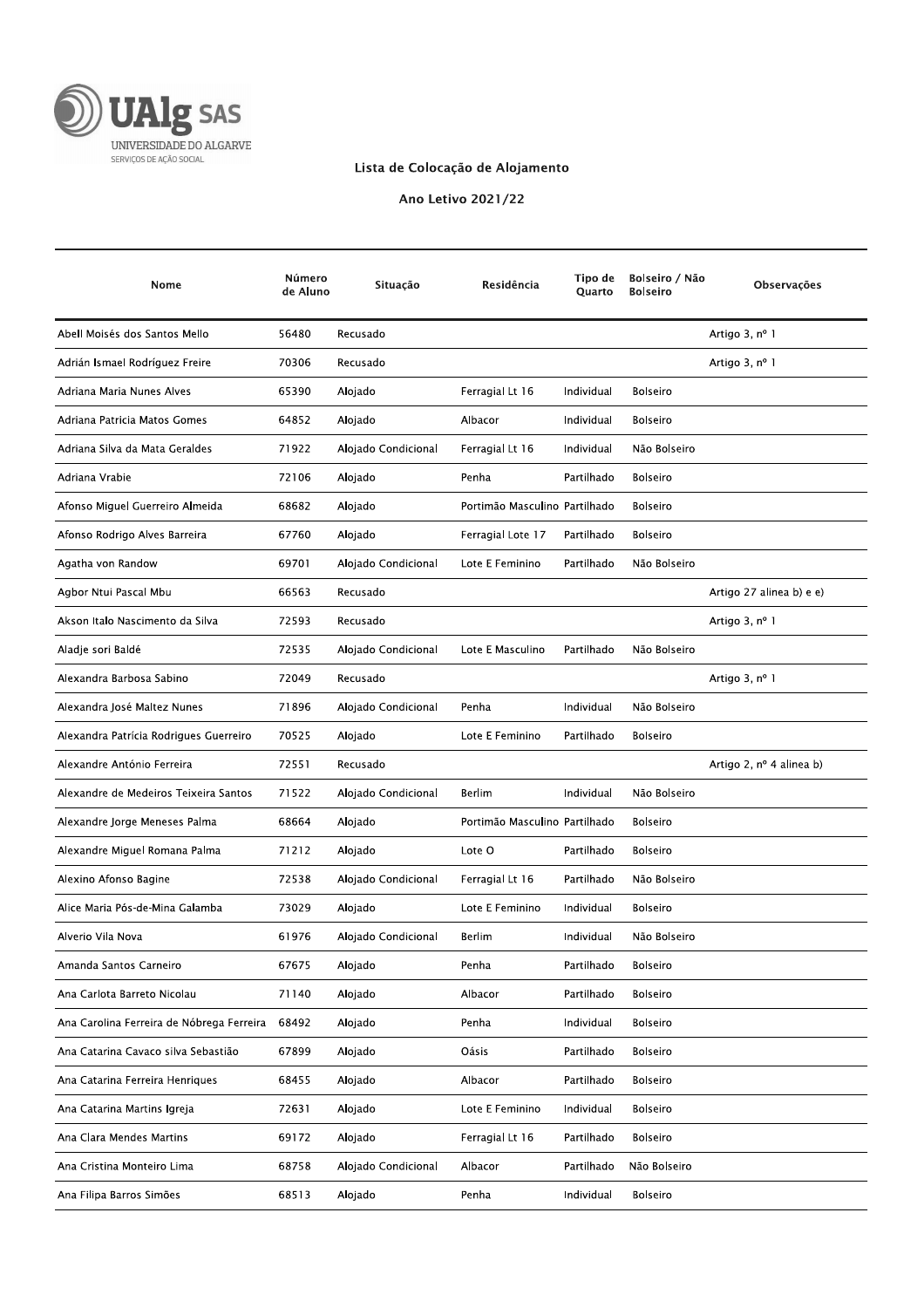

## Lista de Colocação de Alojamento

Ano Letivo 2021/22

| Nome                                      | Número<br>de Aluno | Situação            | Residência                    | Tipo de<br>Quarto | Bolseiro / Não<br><b>Bolseiro</b> | Observações              |
|-------------------------------------------|--------------------|---------------------|-------------------------------|-------------------|-----------------------------------|--------------------------|
| Abell Moisés dos Santos Mello             | 56480              | Recusado            |                               |                   |                                   | Artigo 3, nº 1           |
| Adrián Ismael Rodríguez Freire            | 70306              | Recusado            |                               |                   |                                   | Artigo 3, nº 1           |
| Adriana Maria Nunes Alves                 | 65390              | Alojado             | Ferragial Lt 16               | Individual        | <b>Bolseiro</b>                   |                          |
| Adriana Patricia Matos Gomes              | 64852              | Alojado             | Albacor                       | Individual        | <b>Bolseiro</b>                   |                          |
| Adriana Silva da Mata Geraldes            | 71922              | Alojado Condicional | Ferragial Lt 16               | Individual        | Não Bolseiro                      |                          |
| Adriana Vrabie                            | 72106              | Alojado             | Penha                         | Partilhado        | <b>Bolseiro</b>                   |                          |
| Afonso Miguel Guerreiro Almeida           | 68682              | Alojado             | Portimão Masculino Partilhado |                   | <b>Bolseiro</b>                   |                          |
| Afonso Rodrigo Alves Barreira             | 67760              | Alojado             | Ferragial Lote 17             | Partilhado        | <b>Bolseiro</b>                   |                          |
| Agatha von Randow                         | 69701              | Alojado Condicional | Lote E Feminino               | Partilhado        | Não Bolseiro                      |                          |
| Agbor Ntui Pascal Mbu                     | 66563              | Recusado            |                               |                   |                                   | Artigo 27 alinea b) e e) |
| Akson Italo Nascimento da Silva           | 72593              | Recusado            |                               |                   |                                   | Artigo 3, nº 1           |
| Aladje sori Baldé                         | 72535              | Alojado Condicional | Lote E Masculino              | Partilhado        | Não Bolseiro                      |                          |
| Alexandra Barbosa Sabino                  | 72049              | Recusado            |                               |                   |                                   | Artigo 3, nº 1           |
| Alexandra José Maltez Nunes               | 71896              | Alojado Condicional | Penha                         | Individual        | Não Bolseiro                      |                          |
| Alexandra Patrícia Rodrigues Guerreiro    | 70525              | Alojado             | Lote E Feminino               | Partilhado        | <b>Bolseiro</b>                   |                          |
| Alexandre António Ferreira                | 72551              | Recusado            |                               |                   |                                   | Artigo 2, nº 4 alinea b) |
| Alexandre de Medeiros Teixeira Santos     | 71522              | Alojado Condicional | Berlim                        | Individual        | Não Bolseiro                      |                          |
| Alexandre Jorge Meneses Palma             | 68664              | Alojado             | Portimão Masculino Partilhado |                   | <b>Bolseiro</b>                   |                          |
| Alexandre Miguel Romana Palma             | 71212              | Alojado             | Lote O                        | Partilhado        | <b>Bolseiro</b>                   |                          |
| Alexino Afonso Bagine                     | 72538              | Alojado Condicional | Ferragial Lt 16               | Partilhado        | Não Bolseiro                      |                          |
| Alice Maria Pós-de-Mina Galamba           | 73029              | Alojado             | Lote E Feminino               | Individual        | <b>Bolseiro</b>                   |                          |
| Alverio Vila Nova                         | 61976              | Alojado Condicional | Berlim                        | Individual        | Não Bolseiro                      |                          |
| Amanda Santos Carneiro                    | 67675              | Alojado             | Penha                         | Partilhado        | Bolseiro                          |                          |
| Ana Carlota Barreto Nicolau               | 71140              | Alojado             | Albacor                       | Partilhado        | <b>Bolseiro</b>                   |                          |
| Ana Carolina Ferreira de Nóbrega Ferreira | 68492              | Alojado             | Penha                         | Individual        | <b>Bolseiro</b>                   |                          |
| Ana Catarina Cavaco silva Sebastião       | 67899              | Alojado             | Oásis                         | Partilhado        | <b>Bolseiro</b>                   |                          |
| Ana Catarina Ferreira Henriques           | 68455              | Alojado             | Albacor                       | Partilhado        | Bolseiro                          |                          |
| Ana Catarina Martins Igreja               | 72631              | Alojado             | Lote E Feminino               | Individual        | <b>Bolseiro</b>                   |                          |
| Ana Clara Mendes Martins                  | 69172              | Alojado             | Ferragial Lt 16               | Partilhado        | <b>Bolseiro</b>                   |                          |
| Ana Cristina Monteiro Lima                | 68758              | Alojado Condicional | Albacor                       | Partilhado        | Não Bolseiro                      |                          |
| Ana Filipa Barros Simões                  | 68513              | Alojado             | Penha                         | Individual        | Bolseiro                          |                          |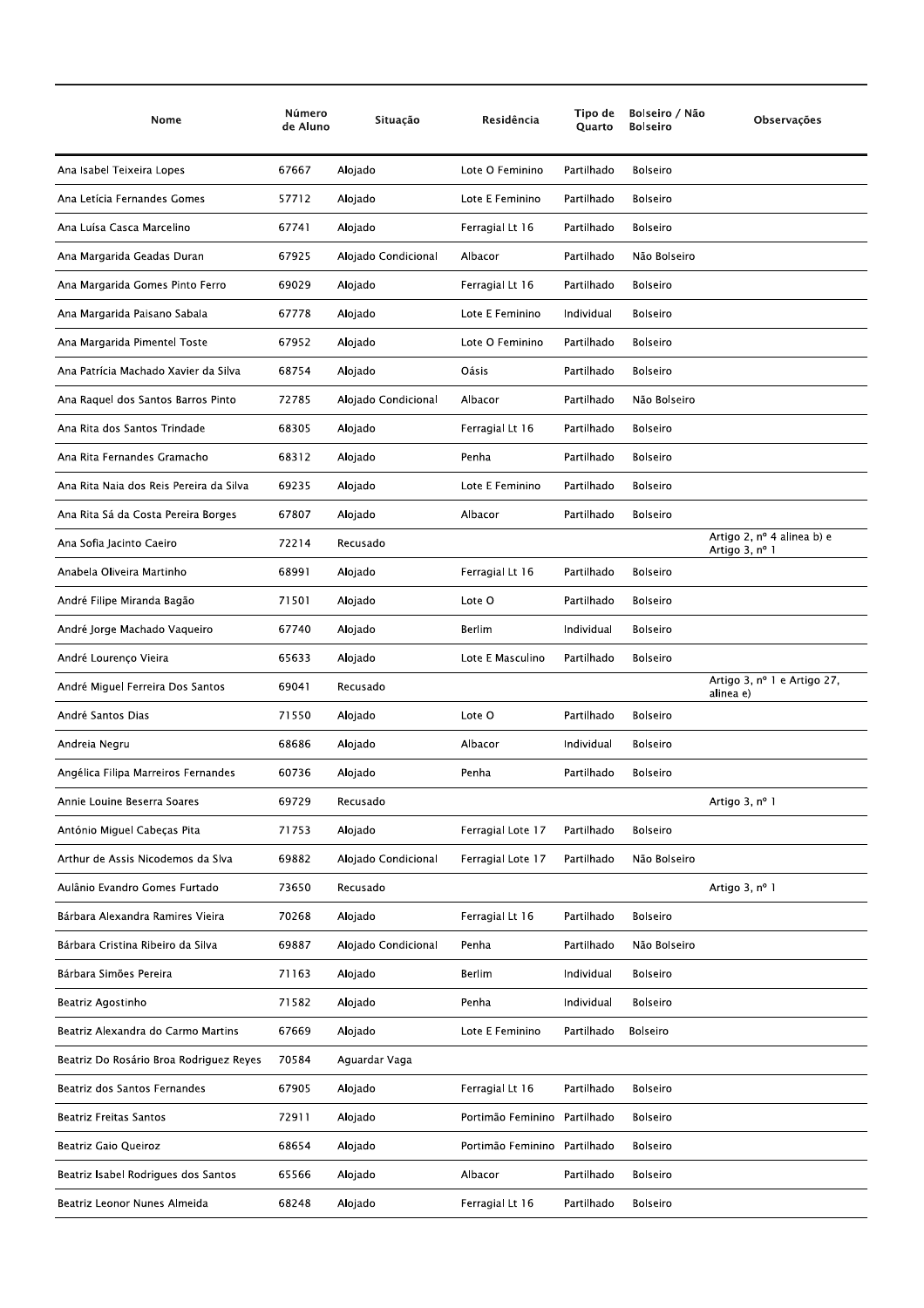| Nome                                    | Número<br>de Aluno | Situação            | Residência                   | Tipo de<br>Quarto | Bolseiro / Não<br><b>Bolseiro</b> | Observações                                           |
|-----------------------------------------|--------------------|---------------------|------------------------------|-------------------|-----------------------------------|-------------------------------------------------------|
| Ana Isabel Teixeira Lopes               | 67667              | Alojado             | Lote O Feminino              | Partilhado        | <b>Bolseiro</b>                   |                                                       |
| Ana Letícia Fernandes Gomes             | 57712              | Alojado             | Lote E Feminino              | Partilhado        | <b>Bolseiro</b>                   |                                                       |
| Ana Luísa Casca Marcelino               | 67741              | Alojado             | Ferragial Lt 16              | Partilhado        | <b>Bolseiro</b>                   |                                                       |
| Ana Margarida Geadas Duran              | 67925              | Alojado Condicional | Albacor                      | Partilhado        | Não Bolseiro                      |                                                       |
| Ana Margarida Gomes Pinto Ferro         | 69029              | Alojado             | Ferragial Lt 16              | Partilhado        | <b>Bolseiro</b>                   |                                                       |
| Ana Margarida Paisano Sabala            | 67778              | Alojado             | Lote E Feminino              | Individual        | <b>Bolseiro</b>                   |                                                       |
| Ana Margarida Pimentel Toste            | 67952              | Alojado             | Lote O Feminino              | Partilhado        | Bolseiro                          |                                                       |
| Ana Patrícia Machado Xavier da Silva    | 68754              | Alojado             | Oásis                        | Partilhado        | <b>Bolseiro</b>                   |                                                       |
| Ana Raquel dos Santos Barros Pinto      | 72785              | Alojado Condicional | Albacor                      | Partilhado        | Não Bolseiro                      |                                                       |
| Ana Rita dos Santos Trindade            | 68305              | Alojado             | Ferragial Lt 16              | Partilhado        | Bolseiro                          |                                                       |
| Ana Rita Fernandes Gramacho             | 68312              | Alojado             | Penha                        | Partilhado        | Bolseiro                          |                                                       |
| Ana Rita Naia dos Reis Pereira da Silva | 69235              | Alojado             | Lote E Feminino              | Partilhado        | <b>Bolseiro</b>                   |                                                       |
| Ana Rita Sá da Costa Pereira Borges     | 67807              | Alojado             | Albacor                      | Partilhado        | <b>Bolseiro</b>                   |                                                       |
| Ana Sofia Jacinto Caeiro                | 72214              | Recusado            |                              |                   |                                   | Artigo 2, $n^{\circ}$ 4 alinea b) e<br>Artigo 3, nº 1 |
| Anabela Oliveira Martinho               | 68991              | Alojado             | Ferragial Lt 16              | Partilhado        | <b>Bolseiro</b>                   |                                                       |
| André Filipe Miranda Bagão              | 71501              | Alojado             | Lote O                       | Partilhado        | <b>Bolseiro</b>                   |                                                       |
| André Jorge Machado Vaqueiro            | 67740              | Alojado             | Berlim                       | Individual        | <b>Bolseiro</b>                   |                                                       |
| André Lourenço Vieira                   | 65633              | Alojado             | Lote E Masculino             | Partilhado        | <b>Bolseiro</b>                   |                                                       |
| André Miguel Ferreira Dos Santos        | 69041              | Recusado            |                              |                   |                                   | Artigo 3, nº 1 e Artigo 27,<br>alinea e)              |
| André Santos Dias                       | 71550              | Alojado             | Lote O                       | Partilhado        | <b>Bolseiro</b>                   |                                                       |
| Andreia Negru                           | 68686              | Alojado             | Albacor                      | Individual        | <b>Bolseiro</b>                   |                                                       |
| Angélica Filipa Marreiros Fernandes     | 60736              | Alojado             | Penha                        | Partilhado        | <b>Bolseiro</b>                   |                                                       |
| Annie Louine Beserra Soares             | 69729              | Recusado            |                              |                   |                                   | Artigo 3, nº 1                                        |
| António Miguel Cabeças Pita             | 71753              | Alojado             | Ferragial Lote 17            | Partilhado        | Bolseiro                          |                                                       |
| Arthur de Assis Nicodemos da Slva       | 69882              | Alojado Condicional | Ferragial Lote 17            | Partilhado        | Não Bolseiro                      |                                                       |
| Aulânio Evandro Gomes Furtado           | 73650              | Recusado            |                              |                   |                                   | Artigo 3, nº 1                                        |
| Bárbara Alexandra Ramires Vieira        | 70268              | Alojado             | Ferragial Lt 16              | Partilhado        | <b>Bolseiro</b>                   |                                                       |
| Bárbara Cristina Ribeiro da Silva       | 69887              | Alojado Condicional | Penha                        | Partilhado        | Não Bolseiro                      |                                                       |
| Bárbara Simões Pereira                  | 71163              | Alojado             | <b>Berlim</b>                | Individual        | <b>Bolseiro</b>                   |                                                       |
| Beatriz Agostinho                       | 71582              | Alojado             | Penha                        | Individual        | Bolseiro                          |                                                       |
| Beatriz Alexandra do Carmo Martins      | 67669              | Alojado             | Lote E Feminino              | Partilhado        | <b>Bolseiro</b>                   |                                                       |
| Beatriz Do Rosário Broa Rodriguez Reyes | 70584              | Aguardar Vaga       |                              |                   |                                   |                                                       |
| Beatriz dos Santos Fernandes            | 67905              | Alojado             | Ferragial Lt 16              | Partilhado        | <b>Bolseiro</b>                   |                                                       |
| <b>Beatriz Freitas Santos</b>           | 72911              | Alojado             | Portimão Feminino            | Partilhado        | Bolseiro                          |                                                       |
| Beatriz Gaio Queiroz                    | 68654              | Alojado             | Portimão Feminino Partilhado |                   | <b>Bolseiro</b>                   |                                                       |
| Beatriz Isabel Rodrigues dos Santos     | 65566              | Alojado             | Albacor                      | Partilhado        | Bolseiro                          |                                                       |
| Beatriz Leonor Nunes Almeida            | 68248              | Alojado             | Ferragial Lt 16              | Partilhado        | Bolseiro                          |                                                       |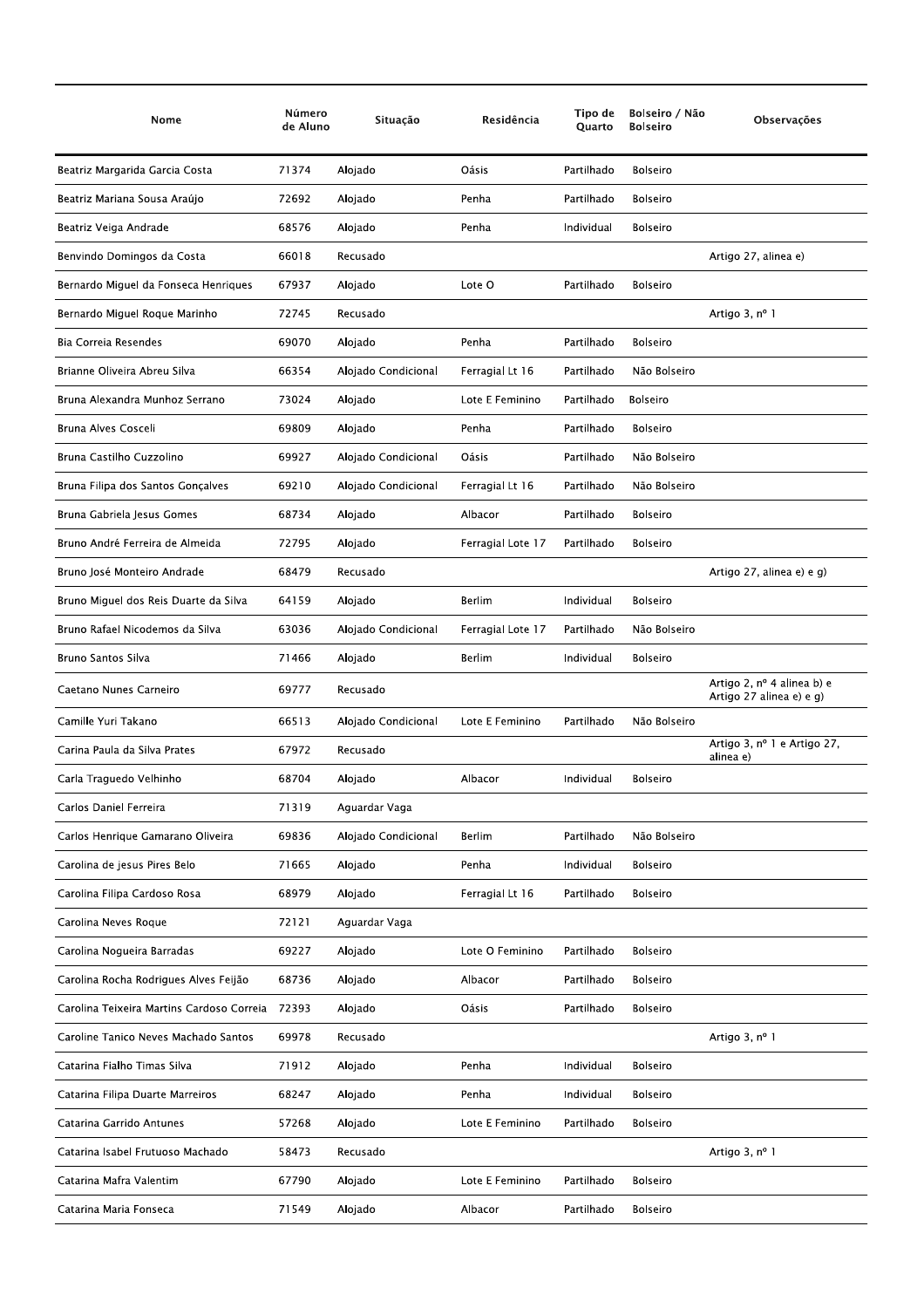| Nome                                      | Número<br>de Aluno | Situação            | Residência        | Tipo de<br>Quarto | Bolseiro / Não<br><b>Bolseiro</b> | Observações                                            |
|-------------------------------------------|--------------------|---------------------|-------------------|-------------------|-----------------------------------|--------------------------------------------------------|
| Beatriz Margarida Garcia Costa            | 71374              | Alojado             | Oásis             | Partilhado        | <b>Bolseiro</b>                   |                                                        |
| Beatriz Mariana Sousa Araújo              | 72692              | Alojado             | Penha             | Partilhado        | <b>Bolseiro</b>                   |                                                        |
| Beatriz Veiga Andrade                     | 68576              | Alojado             | Penha             | Individual        | <b>Bolseiro</b>                   |                                                        |
| Benvindo Domingos da Costa                | 66018              | Recusado            |                   |                   |                                   | Artigo 27, alinea e)                                   |
| Bernardo Miguel da Fonseca Henriques      | 67937              | Alojado             | Lote O            | Partilhado        | <b>Bolseiro</b>                   |                                                        |
| Bernardo Miguel Roque Marinho             | 72745              | Recusado            |                   |                   |                                   | Artigo 3, nº 1                                         |
| Bia Correia Resendes                      | 69070              | Alojado             | Penha             | Partilhado        | <b>Bolseiro</b>                   |                                                        |
| Brianne Oliveira Abreu Silva              | 66354              | Alojado Condicional | Ferragial Lt 16   | Partilhado        | Não Bolseiro                      |                                                        |
| Bruna Alexandra Munhoz Serrano            | 73024              | Alojado             | Lote E Feminino   | Partilhado        | <b>Bolseiro</b>                   |                                                        |
| Bruna Alves Cosceli                       | 69809              | Alojado             | Penha             | Partilhado        | <b>Bolseiro</b>                   |                                                        |
| Bruna Castilho Cuzzolino                  | 69927              | Alojado Condicional | Oásis             | Partilhado        | Não Bolseiro                      |                                                        |
| Bruna Filipa dos Santos Gonçalves         | 69210              | Alojado Condicional | Ferragial Lt 16   | Partilhado        | Não Bolseiro                      |                                                        |
| Bruna Gabriela Iesus Gomes                | 68734              | Alojado             | Albacor           | Partilhado        | <b>Bolseiro</b>                   |                                                        |
| Bruno André Ferreira de Almeida           | 72795              | Alojado             | Ferragial Lote 17 | Partilhado        | <b>Bolseiro</b>                   |                                                        |
| Bruno José Monteiro Andrade               | 68479              | Recusado            |                   |                   |                                   | Artigo 27, alinea e) e g)                              |
| Bruno Miguel dos Reis Duarte da Silva     | 64159              | Alojado             | <b>Berlim</b>     | Individual        | <b>Bolseiro</b>                   |                                                        |
| Bruno Rafael Nicodemos da Silva           | 63036              | Alojado Condicional | Ferragial Lote 17 | Partilhado        | Não Bolseiro                      |                                                        |
| Bruno Santos Silva                        | 71466              | Alojado             | Berlim            | Individual        | <b>Bolseiro</b>                   |                                                        |
| Caetano Nunes Carneiro                    | 69777              | Recusado            |                   |                   |                                   | Artigo 2, nº 4 alinea b) e<br>Artigo 27 alinea e) e g) |
| Camille Yuri Takano                       | 66513              | Alojado Condicional | Lote E Feminino   | Partilhado        | Não Bolseiro                      |                                                        |
| Carina Paula da Silva Prates              | 67972              | Recusado            |                   |                   |                                   | Artigo 3, nº 1 e Artigo 27,<br>alinea e)               |
| Carla Traguedo Velhinho                   | 68704              | Alojado             | Albacor           | Individual        | <b>Bolseiro</b>                   |                                                        |
| Carlos Daniel Ferreira                    | 71319              | Aguardar Vaga       |                   |                   |                                   |                                                        |
| Carlos Henrique Gamarano Oliveira         | 69836              | Alojado Condicional | Berlim            | Partilhado        | Não Bolseiro                      |                                                        |
| Carolina de jesus Pires Belo              | 71665              | Alojado             | Penha             | Individual        | Bolseiro                          |                                                        |
| Carolina Filipa Cardoso Rosa              | 68979              | Alojado             | Ferragial Lt 16   | Partilhado        | <b>Bolseiro</b>                   |                                                        |
| Carolina Neves Roque                      | 72121              | Aguardar Vaga       |                   |                   |                                   |                                                        |
| Carolina Nogueira Barradas                | 69227              | Alojado             | Lote O Feminino   | Partilhado        | <b>Bolseiro</b>                   |                                                        |
| Carolina Rocha Rodrigues Alves Feijão     | 68736              | Alojado             | Albacor           | Partilhado        | Bolseiro                          |                                                        |
| Carolina Teixeira Martins Cardoso Correia | 72393              | Alojado             | Oásis             | Partilhado        | Bolseiro                          |                                                        |
| Caroline Tanico Neves Machado Santos      | 69978              | Recusado            |                   |                   |                                   | Artigo 3, nº 1                                         |
| Catarina Fialho Timas Silva               | 71912              | Alojado             | Penha             | Individual        | <b>Bolseiro</b>                   |                                                        |
| Catarina Filipa Duarte Marreiros          | 68247              | Alojado             | Penha             | Individual        | Bolseiro                          |                                                        |
| Catarina Garrido Antunes                  | 57268              | Alojado             | Lote E Feminino   | Partilhado        | Bolseiro                          |                                                        |
| Catarina Isabel Frutuoso Machado          | 58473              | Recusado            |                   |                   |                                   | Artigo 3, nº 1                                         |
| Catarina Mafra Valentim                   | 67790              | Alojado             | Lote E Feminino   | Partilhado        | <b>Bolseiro</b>                   |                                                        |
| Catarina Maria Fonseca                    | 71549              | Alojado             | Albacor           | Partilhado        | Bolseiro                          |                                                        |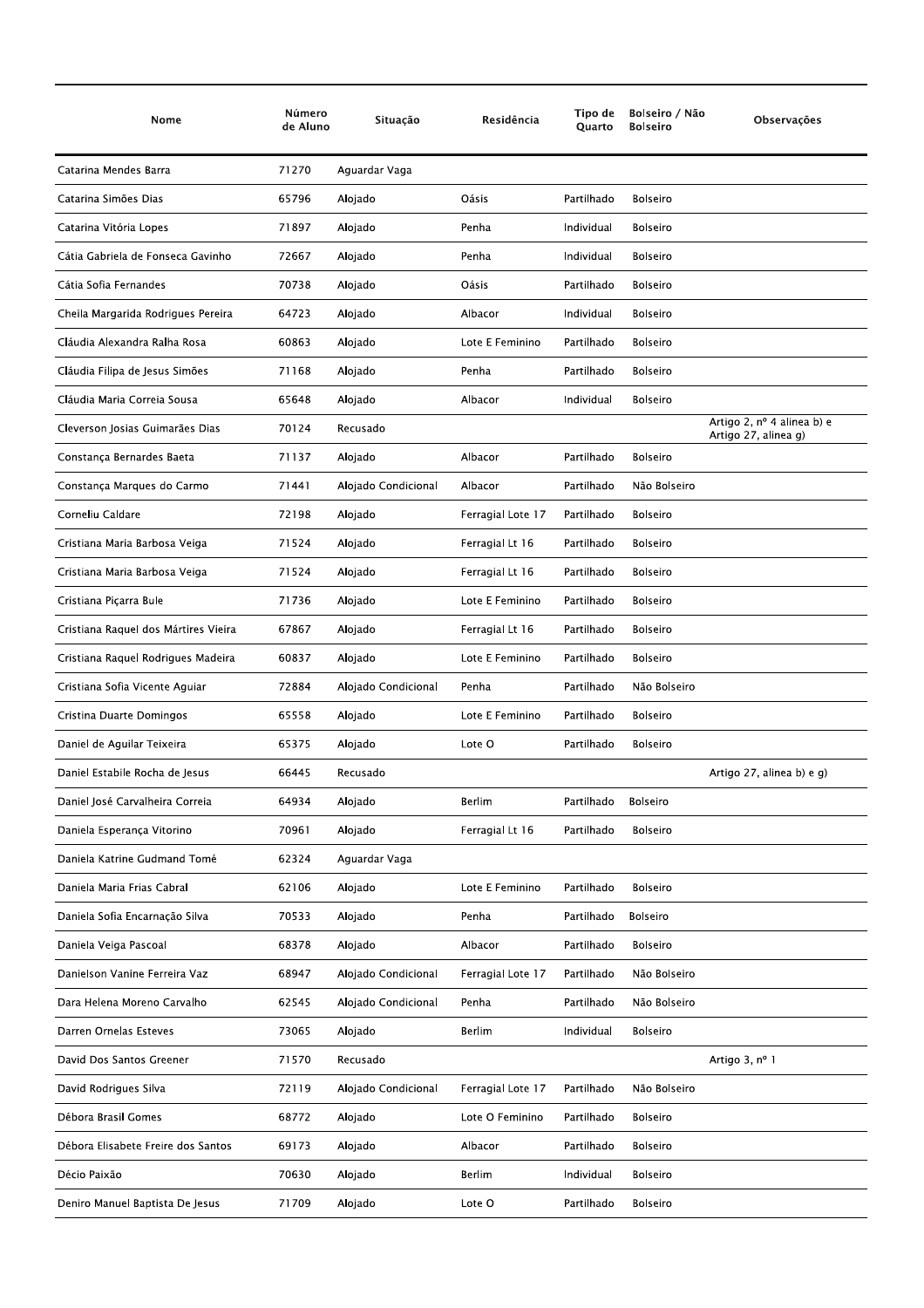| Nome                                 | Número<br>de Aluno | Situação            | Residência        | Tipo de<br><b>Ouarto</b> | Bolseiro / Não<br><b>Bolseiro</b> | Observações                                        |
|--------------------------------------|--------------------|---------------------|-------------------|--------------------------|-----------------------------------|----------------------------------------------------|
| Catarina Mendes Barra                | 71270              | Aguardar Vaga       |                   |                          |                                   |                                                    |
| Catarina Simões Dias                 | 65796              | Alojado             | Oásis             | Partilhado               | <b>Bolseiro</b>                   |                                                    |
| Catarina Vitória Lopes               | 71897              | Alojado             | Penha             | Individual               | <b>Bolseiro</b>                   |                                                    |
| Cátia Gabriela de Fonseca Gavinho    | 72667              | Alojado             | Penha             | Individual               | <b>Bolseiro</b>                   |                                                    |
| Cátia Sofia Fernandes                | 70738              | Alojado             | Oásis             | Partilhado               | <b>Bolseiro</b>                   |                                                    |
| Cheila Margarida Rodrigues Pereira   | 64723              | Alojado             | Albacor           | Individual               | <b>Bolseiro</b>                   |                                                    |
| Cláudia Alexandra Ralha Rosa         | 60863              | Alojado             | Lote E Feminino   | Partilhado               | <b>Bolseiro</b>                   |                                                    |
| Cláudia Filipa de Jesus Simões       | 71168              | Alojado             | Penha             | Partilhado               | <b>Bolseiro</b>                   |                                                    |
| Cláudia Maria Correia Sousa          | 65648              | Alojado             | Albacor           | Individual               | <b>Bolseiro</b>                   |                                                    |
| Cleverson Josias Guimarães Dias      | 70124              | Recusado            |                   |                          |                                   | Artigo 2, nº 4 alinea b) e<br>Artigo 27, alinea g) |
| Constança Bernardes Baeta            | 71137              | Alojado             | Albacor           | Partilhado               | <b>Bolseiro</b>                   |                                                    |
| Constança Marques do Carmo           | 71441              | Alojado Condicional | Albacor           | Partilhado               | Não Bolseiro                      |                                                    |
| Corneliu Caldare                     | 72198              | Alojado             | Ferragial Lote 17 | Partilhado               | <b>Bolseiro</b>                   |                                                    |
| Cristiana Maria Barbosa Veiga        | 71524              | Alojado             | Ferragial Lt 16   | Partilhado               | <b>Bolseiro</b>                   |                                                    |
| Cristiana Maria Barbosa Veiga        | 71524              | Alojado             | Ferragial Lt 16   | Partilhado               | <b>Bolseiro</b>                   |                                                    |
| Cristiana Piçarra Bule               | 71736              | Alojado             | Lote E Feminino   | Partilhado               | <b>Bolseiro</b>                   |                                                    |
| Cristiana Raquel dos Mártires Vieira | 67867              | Alojado             | Ferragial Lt 16   | Partilhado               | <b>Bolseiro</b>                   |                                                    |
| Cristiana Raquel Rodrigues Madeira   | 60837              | Alojado             | Lote E Feminino   | Partilhado               | Bolseiro                          |                                                    |
| Cristiana Sofia Vicente Aguiar       | 72884              | Alojado Condicional | Penha             | Partilhado               | Não Bolseiro                      |                                                    |
| Cristina Duarte Domingos             | 65558              | Alojado             | Lote E Feminino   | Partilhado               | <b>Bolseiro</b>                   |                                                    |
| Daniel de Aguilar Teixeira           | 65375              | Alojado             | Lote O            | Partilhado               | Bolseiro                          |                                                    |
| Daniel Estabile Rocha de Jesus       | 66445              | Recusado            |                   |                          |                                   | Artigo 27, alinea b) e g)                          |
| Daniel José Carvalheira Correia      | 64934              | Alojado             | <b>Berlim</b>     | Partilhado               | <b>Bolseiro</b>                   |                                                    |
| Daniela Esperança Vitorino           | 70961              | Alojado             | Ferragial Lt 16   | Partilhado               | <b>Bolseiro</b>                   |                                                    |
| Daniela Katrine Gudmand Tomé         | 62324              | Aguardar Vaga       |                   |                          |                                   |                                                    |
| Daniela Maria Frias Cabral           | 62106              | Alojado             | Lote E Feminino   | Partilhado               | Bolseiro                          |                                                    |
| Daniela Sofia Encarnação Silva       | 70533              | Alojado             | Penha             | Partilhado               | <b>Bolseiro</b>                   |                                                    |
| Daniela Veiga Pascoal                | 68378              | Alojado             | Albacor           | Partilhado               | <b>Bolseiro</b>                   |                                                    |
| Danielson Vanine Ferreira Vaz        | 68947              | Alojado Condicional | Ferragial Lote 17 | Partilhado               | Não Bolseiro                      |                                                    |
| Dara Helena Moreno Carvalho          | 62545              | Alojado Condicional | Penha             | Partilhado               | Não Bolseiro                      |                                                    |
| Darren Ornelas Esteves               | 73065              | Alojado             | <b>Berlim</b>     | Individual               | Bolseiro                          |                                                    |
| David Dos Santos Greener             | 71570              | Recusado            |                   |                          |                                   | Artigo 3, nº 1                                     |
| David Rodrigues Silva                | 72119              | Alojado Condicional | Ferragial Lote 17 | Partilhado               | Não Bolseiro                      |                                                    |
| Débora Brasil Gomes                  | 68772              | Alojado             | Lote O Feminino   | Partilhado               | <b>Bolseiro</b>                   |                                                    |
| Débora Elisabete Freire dos Santos   | 69173              | Alojado             | Albacor           | Partilhado               | Bolseiro                          |                                                    |
| Décio Paixão                         | 70630              | Alojado             | Berlim            | Individual               | Bolseiro                          |                                                    |
| Deniro Manuel Baptista De Jesus      | 71709              | Alojado             | Lote O            | Partilhado               | Bolseiro                          |                                                    |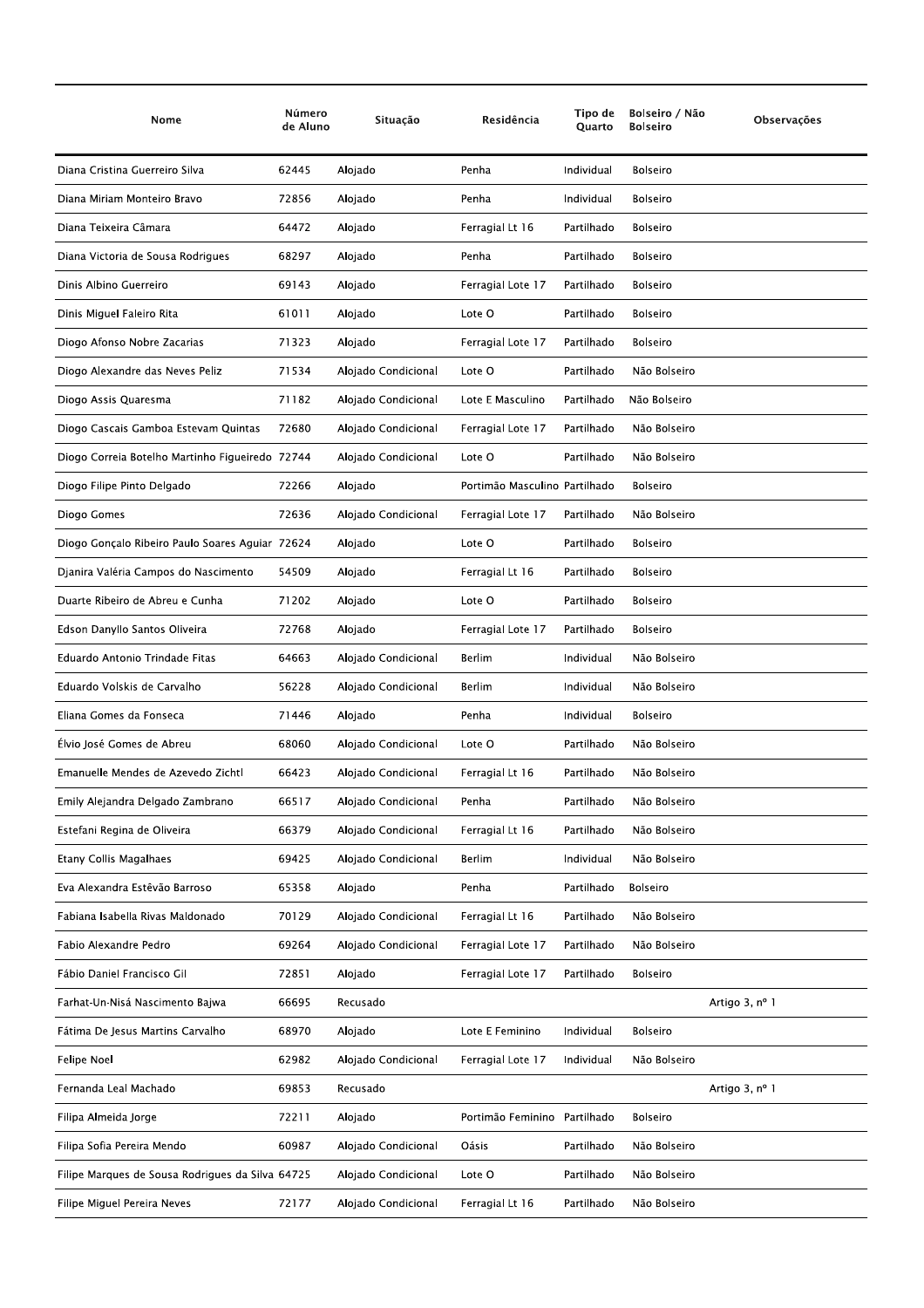| Nome                                             | Número<br>de Aluno | Situação            | Residência                    | Tipo de<br>Quarto | Bolseiro / Não<br><b>Bolseiro</b> | Observações    |
|--------------------------------------------------|--------------------|---------------------|-------------------------------|-------------------|-----------------------------------|----------------|
| Diana Cristina Guerreiro Silva                   | 62445              | Alojado             | Penha                         | Individual        | <b>Bolseiro</b>                   |                |
| Diana Miriam Monteiro Bravo                      | 72856              | Alojado             | Penha                         | Individual        | <b>Bolseiro</b>                   |                |
| Diana Teixeira Câmara                            | 64472              | Alojado             | Ferragial Lt 16               | Partilhado        | <b>Bolseiro</b>                   |                |
| Diana Victoria de Sousa Rodrigues                | 68297              | Alojado             | Penha                         | Partilhado        | <b>Bolseiro</b>                   |                |
| Dinis Albino Guerreiro                           | 69143              | Alojado             | Ferragial Lote 17             | Partilhado        | <b>Bolseiro</b>                   |                |
| Dinis Miguel Faleiro Rita                        | 61011              | Alojado             | Lote O                        | Partilhado        | <b>Bolseiro</b>                   |                |
| Diogo Afonso Nobre Zacarias                      | 71323              | Alojado             | Ferragial Lote 17             | Partilhado        | Bolseiro                          |                |
| Diogo Alexandre das Neves Peliz                  | 71534              | Alojado Condicional | Lote O                        | Partilhado        | Não Bolseiro                      |                |
| Diogo Assis Quaresma                             | 71182              | Alojado Condicional | Lote E Masculino              | Partilhado        | Não Bolseiro                      |                |
| Diogo Cascais Gamboa Estevam Quintas             | 72680              | Alojado Condicional | Ferragial Lote 17             | Partilhado        | Não Bolseiro                      |                |
| Diogo Correia Botelho Martinho Figueiredo 72744  |                    | Alojado Condicional | Lote O                        | Partilhado        | Não Bolseiro                      |                |
| Diogo Filipe Pinto Delgado                       | 72266              | Alojado             | Portimão Masculino Partilhado |                   | <b>Bolseiro</b>                   |                |
| Diogo Gomes                                      | 72636              | Alojado Condicional | Ferragial Lote 17             | Partilhado        | Não Bolseiro                      |                |
| Diogo Gonçalo Ribeiro Paulo Soares Aguiar 72624  |                    | Alojado             | Lote O                        | Partilhado        | <b>Bolseiro</b>                   |                |
| Djanira Valéria Campos do Nascimento             | 54509              | Alojado             | Ferragial Lt 16               | Partilhado        | Bolseiro                          |                |
| Duarte Ribeiro de Abreu e Cunha                  | 71202              | Alojado             | Lote O                        | Partilhado        | <b>Bolseiro</b>                   |                |
| Edson Danyllo Santos Oliveira                    | 72768              | Alojado             | Ferragial Lote 17             | Partilhado        | <b>Bolseiro</b>                   |                |
| Eduardo Antonio Trindade Fitas                   | 64663              | Alojado Condicional | Berlim                        | Individual        | Não Bolseiro                      |                |
| Eduardo Volskis de Carvalho                      | 56228              | Alojado Condicional | Berlim                        | Individual        | Não Bolseiro                      |                |
| Eliana Gomes da Fonseca                          | 71446              | Alojado             | Penha                         | Individual        | <b>Bolseiro</b>                   |                |
| Élvio José Gomes de Abreu                        | 68060              | Alojado Condicional | Lote O                        | Partilhado        | Não Bolseiro                      |                |
| Emanuelle Mendes de Azevedo Zichtl               | 66423              | Alojado Condicional | Ferragial Lt 16               | Partilhado        | Não Bolseiro                      |                |
| Emily Alejandra Delgado Zambrano                 | 66517              | Alojado Condicional | Penha                         | Partilhado        | Não Bolseiro                      |                |
| Estefani Regina de Oliveira                      | 66379              | Alojado Condicional | Ferragial Lt 16               | Partilhado        | Não Bolseiro                      |                |
| Etany Collis Magalhaes                           | 69425              | Alojado Condicional | Berlim                        | Individual        | Não Bolseiro                      |                |
| Eva Alexandra Estêvão Barroso                    | 65358              | Alojado             | Penha                         | Partilhado        | <b>Bolseiro</b>                   |                |
| Fabiana Isabella Rivas Maldonado                 | 70129              | Alojado Condicional | Ferragial Lt 16               | Partilhado        | Não Bolseiro                      |                |
| Fabio Alexandre Pedro                            | 69264              | Alojado Condicional | Ferragial Lote 17             | Partilhado        | Não Bolseiro                      |                |
| Fábio Daniel Francisco Gil                       | 72851              | Alojado             | Ferragial Lote 17             | Partilhado        | Bolseiro                          |                |
| Farhat-Un-Nisá Nascimento Bajwa                  | 66695              | Recusado            |                               |                   |                                   | Artigo 3, nº 1 |
| Fátima De Jesus Martins Carvalho                 | 68970              | Alojado             | Lote E Feminino               | Individual        | Bolseiro                          |                |
| Felipe Noel                                      | 62982              | Alojado Condicional | Ferragial Lote 17             | Individual        | Não Bolseiro                      |                |
| Fernanda Leal Machado                            | 69853              | Recusado            |                               |                   |                                   | Artigo 3, nº 1 |
| Filipa Almeida Jorge                             | 72211              | Alojado             | Portimão Feminino Partilhado  |                   | Bolseiro                          |                |
| Filipa Sofia Pereira Mendo                       | 60987              | Alojado Condicional | Oásis                         | Partilhado        | Não Bolseiro                      |                |
| Filipe Marques de Sousa Rodrigues da Silva 64725 |                    | Alojado Condicional | Lote O                        | Partilhado        | Não Bolseiro                      |                |
| Filipe Miguel Pereira Neves                      | 72177              | Alojado Condicional | Ferragial Lt 16               | Partilhado        | Não Bolseiro                      |                |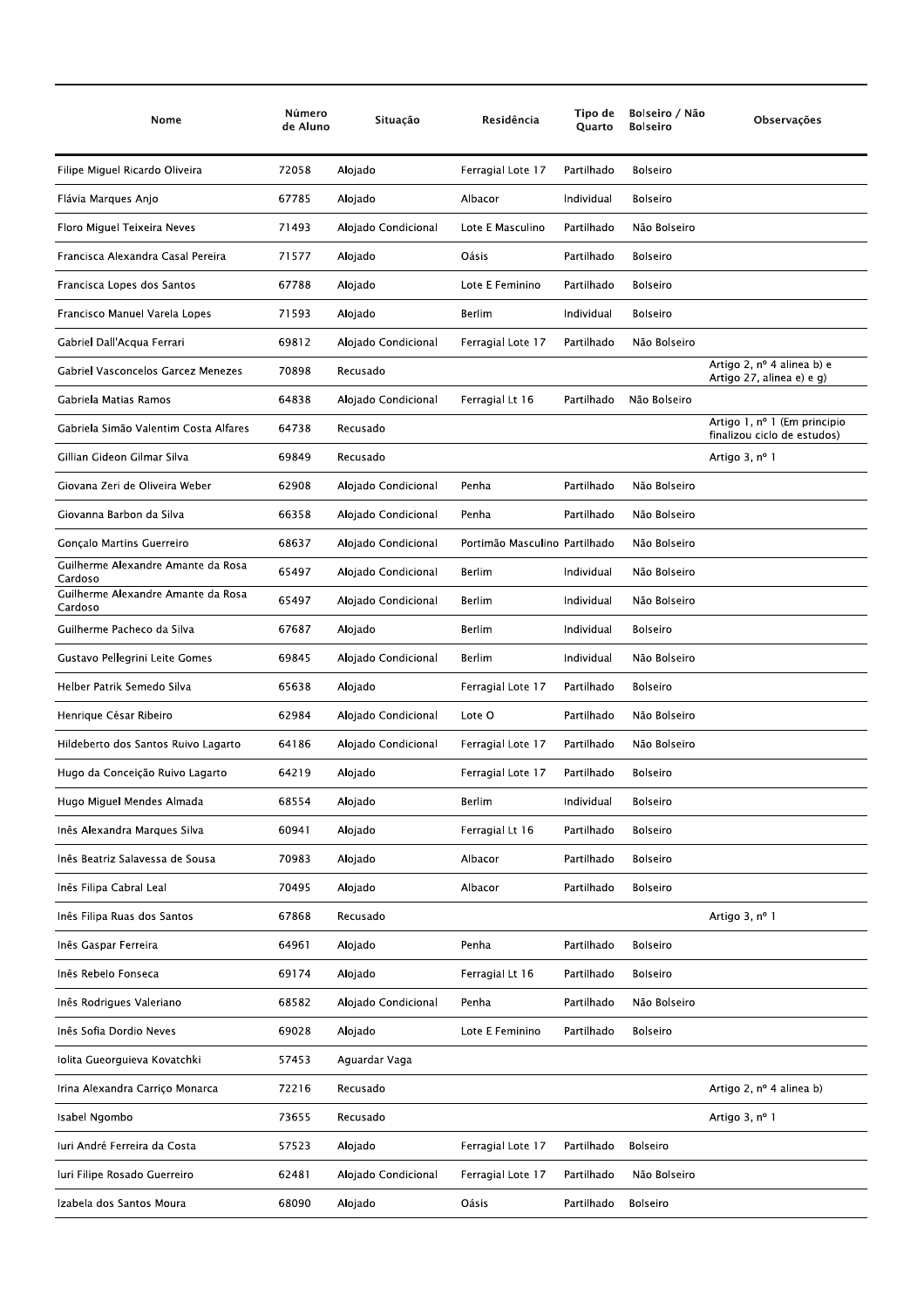| Nome                                          | Número<br>de Aluno | Situação            | Residência                    | Tipo de<br>Quarto | Bolseiro / Não<br><b>Bolseiro</b> | Observações                                                      |
|-----------------------------------------------|--------------------|---------------------|-------------------------------|-------------------|-----------------------------------|------------------------------------------------------------------|
| Filipe Miguel Ricardo Oliveira                | 72058              | Alojado             | Ferragial Lote 17             | Partilhado        | <b>Bolseiro</b>                   |                                                                  |
| Flávia Marques Anjo                           | 67785              | Alojado             | Albacor                       | Individual        | <b>Bolseiro</b>                   |                                                                  |
| Floro Miguel Teixeira Neves                   | 71493              | Alojado Condicional | Lote E Masculino              | Partilhado        | Não Bolseiro                      |                                                                  |
| Francisca Alexandra Casal Pereira             | 71577              | Alojado             | Oásis                         | Partilhado        | <b>Bolseiro</b>                   |                                                                  |
| Francisca Lopes dos Santos                    | 67788              | Alojado             | Lote E Feminino               | Partilhado        | <b>Bolseiro</b>                   |                                                                  |
| Francisco Manuel Varela Lopes                 | 71593              | Alojado             | Berlim                        | Individual        | <b>Bolseiro</b>                   |                                                                  |
| Gabriel Dall'Acqua Ferrari                    | 69812              | Alojado Condicional | Ferragial Lote 17             | Partilhado        | Não Bolseiro                      |                                                                  |
| Gabriel Vasconcelos Garcez Menezes            | 70898              | Recusado            |                               |                   |                                   | Artigo 2, $n^{\circ}$ 4 alinea b) e<br>Artigo 27, alinea e) e g) |
| Gabriela Matias Ramos                         | 64838              | Alojado Condicional | Ferragial Lt 16               | Partilhado        | Não Bolseiro                      |                                                                  |
| Gabriela Simão Valentim Costa Alfares         | 64738              | Recusado            |                               |                   |                                   | Artigo 1, nº 1 (Em principio<br>finalizou ciclo de estudos)      |
| Gillian Gideon Gilmar Silva                   | 69849              | Recusado            |                               |                   |                                   | Artigo 3, nº 1                                                   |
| Giovana Zeri de Oliveira Weber                | 62908              | Alojado Condicional | Penha                         | Partilhado        | Não Bolseiro                      |                                                                  |
| Giovanna Barbon da Silva                      | 66358              | Alojado Condicional | Penha                         | Partilhado        | Não Bolseiro                      |                                                                  |
| Gonçalo Martins Guerreiro                     | 68637              | Alojado Condicional | Portimão Masculino Partilhado |                   | Não Bolseiro                      |                                                                  |
| Guilherme Alexandre Amante da Rosa<br>Cardoso | 65497              | Alojado Condicional | Berlim                        | Individual        | Não Bolseiro                      |                                                                  |
| Guilherme Alexandre Amante da Rosa<br>Cardoso | 65497              | Alojado Condicional | Berlim                        | Individual        | Não Bolseiro                      |                                                                  |
| Guilherme Pacheco da Silva                    | 67687              | Alojado             | Berlim                        | Individual        | <b>Bolseiro</b>                   |                                                                  |
| Gustavo Pellegrini Leite Gomes                | 69845              | Alojado Condicional | Berlim                        | Individual        | Não Bolseiro                      |                                                                  |
| Helber Patrik Semedo Silva                    | 65638              | Alojado             | Ferragial Lote 17             | Partilhado        | <b>Bolseiro</b>                   |                                                                  |
| Henrique César Ribeiro                        | 62984              | Alojado Condicional | Lote O                        | Partilhado        | Não Bolseiro                      |                                                                  |
| Hildeberto dos Santos Ruivo Lagarto           | 64186              | Alojado Condicional | Ferragial Lote 17             | Partilhado        | Não Bolseiro                      |                                                                  |
| Hugo da Conceição Ruivo Lagarto               | 64219              | Alojado             | Ferragial Lote 17             | Partilhado        | <b>Bolseiro</b>                   |                                                                  |
| Hugo Miguel Mendes Almada                     | 68554              | Alojado             | <b>Berlim</b>                 | Individual        | <b>Bolseiro</b>                   |                                                                  |
| Inês Alexandra Marques Silva                  | 60941              | Alojado             | Ferragial Lt 16               | Partilhado        | Bolseiro                          |                                                                  |
| Inês Beatriz Salavessa de Sousa               | 70983              | Alojado             | Albacor                       | Partilhado        | <b>Bolseiro</b>                   |                                                                  |
| Inês Filipa Cabral Leal                       | 70495              | Alojado             | Albacor                       | Partilhado        | Bolseiro                          |                                                                  |
| Inês Filipa Ruas dos Santos                   | 67868              | Recusado            |                               |                   |                                   | Artigo 3, nº 1                                                   |
| Inês Gaspar Ferreira                          | 64961              | Alojado             | Penha                         | Partilhado        | <b>Bolseiro</b>                   |                                                                  |
| Inês Rebelo Fonseca                           | 69174              | Alojado             | Ferragial Lt 16               | Partilhado        | Bolseiro                          |                                                                  |
| Inês Rodrigues Valeriano                      | 68582              | Alojado Condicional | Penha                         | Partilhado        | Não Bolseiro                      |                                                                  |
| Inês Sofia Dordio Neves                       | 69028              | Alojado             | Lote E Feminino               | Partilhado        | <b>Bolseiro</b>                   |                                                                  |
| Iolita Gueorguieva Kovatchki                  | 57453              | Aguardar Vaga       |                               |                   |                                   |                                                                  |
| Irina Alexandra Carrico Monarca               | 72216              | Recusado            |                               |                   |                                   | Artigo 2, $n^{\circ}$ 4 alinea b)                                |
| Isabel Ngombo                                 | 73655              | Recusado            |                               |                   |                                   | Artigo 3, nº 1                                                   |
| Iuri André Ferreira da Costa                  | 57523              | Alojado             | Ferragial Lote 17             | Partilhado        | Bolseiro                          |                                                                  |
| Iuri Filipe Rosado Guerreiro                  | 62481              | Alojado Condicional | Ferragial Lote 17             | Partilhado        | Não Bolseiro                      |                                                                  |
| Izabela dos Santos Moura                      | 68090              | Alojado             | Oásis                         | Partilhado        | Bolseiro                          |                                                                  |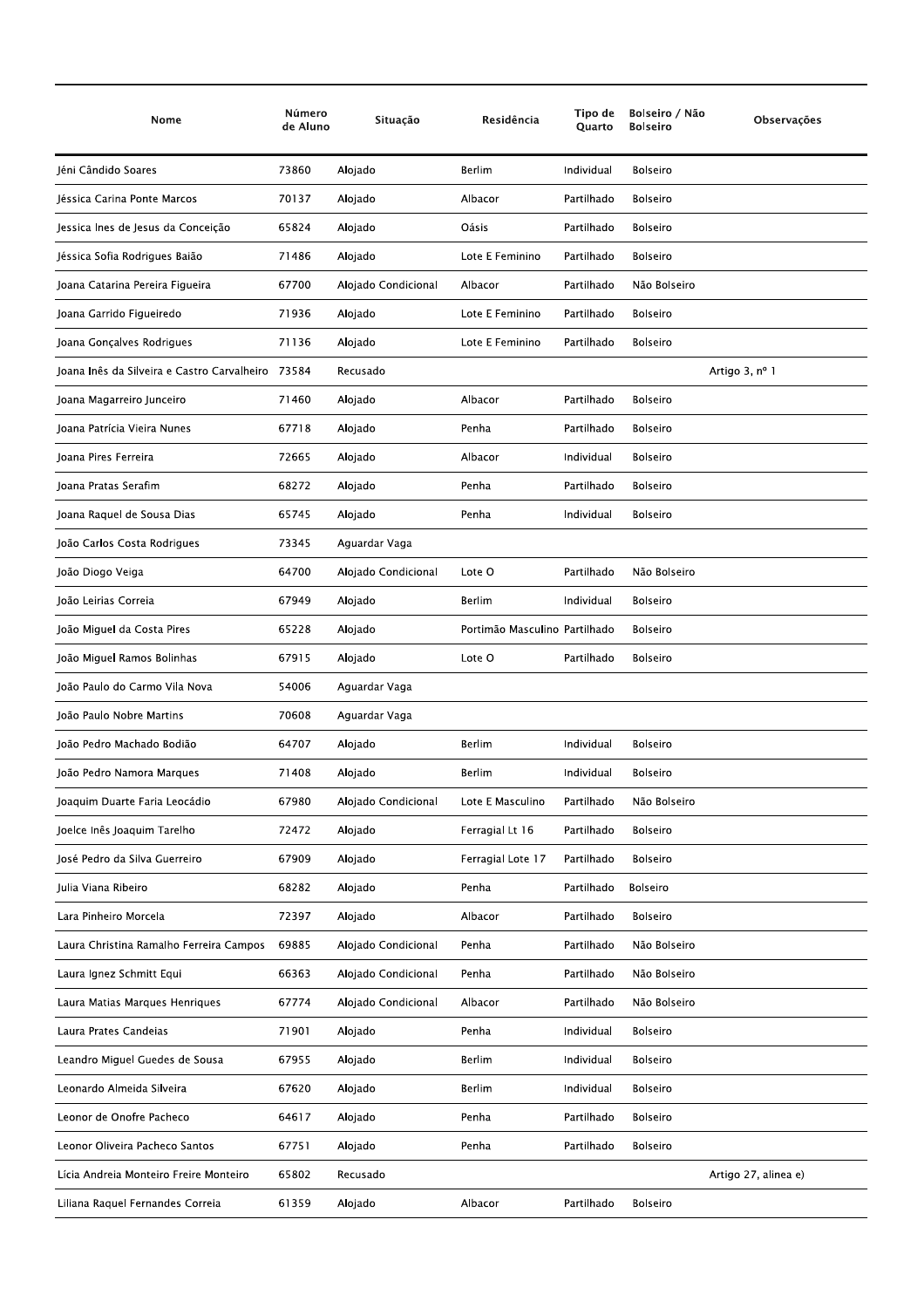| Nome                                        | Número<br>de Aluno | Situação            | Residência                    | Tipo de<br>Quarto | Bolseiro / Não<br><b>Bolseiro</b> | Observações          |
|---------------------------------------------|--------------------|---------------------|-------------------------------|-------------------|-----------------------------------|----------------------|
| Jéni Cândido Soares                         | 73860              | Alojado             | <b>Berlim</b>                 | Individual        | <b>Bolseiro</b>                   |                      |
| Jéssica Carina Ponte Marcos                 | 70137              | Alojado             | Albacor                       | Partilhado        | <b>Bolseiro</b>                   |                      |
| Jessica Ines de Jesus da Conceição          | 65824              | Alojado             | Oásis                         | Partilhado        | <b>Bolseiro</b>                   |                      |
| Jéssica Sofia Rodrigues Baião               | 71486              | Alojado             | Lote E Feminino               | Partilhado        | <b>Bolseiro</b>                   |                      |
| Joana Catarina Pereira Figueira             | 67700              | Alojado Condicional | Albacor                       | Partilhado        | Não Bolseiro                      |                      |
| Joana Garrido Figueiredo                    | 71936              | Alojado             | Lote E Feminino               | Partilhado        | <b>Bolseiro</b>                   |                      |
| Joana Gonçalves Rodrigues                   | 71136              | Alojado             | Lote E Feminino               | Partilhado        | Bolseiro                          |                      |
| Joana Inês da Silveira e Castro Carvalheiro | 73584              | Recusado            |                               |                   |                                   | Artigo 3, nº 1       |
| Joana Magarreiro Junceiro                   | 71460              | Alojado             | Albacor                       | Partilhado        | <b>Bolseiro</b>                   |                      |
| Joana Patrícia Vieira Nunes                 | 67718              | Alojado             | Penha                         | Partilhado        | <b>Bolseiro</b>                   |                      |
| Ioana Pires Ferreira                        | 72665              | Alojado             | Albacor                       | Individual        | <b>Bolseiro</b>                   |                      |
| Joana Pratas Serafim                        | 68272              | Alojado             | Penha                         | Partilhado        | <b>Bolseiro</b>                   |                      |
| Joana Raquel de Sousa Dias                  | 65745              | Alojado             | Penha                         | Individual        | <b>Bolseiro</b>                   |                      |
| João Carlos Costa Rodrigues                 | 73345              | Aguardar Vaga       |                               |                   |                                   |                      |
| João Diogo Veiga                            | 64700              | Alojado Condicional | Lote O                        | Partilhado        | Não Bolseiro                      |                      |
| João Leirias Correia                        | 67949              | Alojado             | Berlim                        | Individual        | <b>Bolseiro</b>                   |                      |
| João Miguel da Costa Pires                  | 65228              | Alojado             | Portimão Masculino Partilhado |                   | <b>Bolseiro</b>                   |                      |
| João Miguel Ramos Bolinhas                  | 67915              | Alojado             | Lote O                        | Partilhado        | <b>Bolseiro</b>                   |                      |
| João Paulo do Carmo Vila Nova               | 54006              | Aguardar Vaga       |                               |                   |                                   |                      |
| João Paulo Nobre Martins                    | 70608              | Aguardar Vaga       |                               |                   |                                   |                      |
| João Pedro Machado Bodião                   | 64707              | Alojado             | <b>Berlim</b>                 | Individual        | <b>Bolseiro</b>                   |                      |
| João Pedro Namora Marques                   | 71408              | Alojado             | Berlim                        | Individual        | <b>Bolseiro</b>                   |                      |
| Joaquim Duarte Faria Leocádio               | 67980              | Alojado Condicional | Lote E Masculino              | Partilhado        | Não Bolseiro                      |                      |
| Joelce Inês Joaquim Tarelho                 | 72472              | Alojado             | Ferragial Lt 16               | Partilhado        | <b>Bolseiro</b>                   |                      |
| José Pedro da Silva Guerreiro               | 67909              | Alojado             | Ferragial Lote 17             | Partilhado        | Bolseiro                          |                      |
| Julia Viana Ribeiro                         | 68282              | Alojado             | Penha                         | Partilhado        | <b>Bolseiro</b>                   |                      |
| Lara Pinheiro Morcela                       | 72397              | Alojado             | Albacor                       | Partilhado        | Bolseiro                          |                      |
| Laura Christina Ramalho Ferreira Campos     | 69885              | Alojado Condicional | Penha                         | Partilhado        | Não Bolseiro                      |                      |
| Laura Ignez Schmitt Equi                    | 66363              | Alojado Condicional | Penha                         | Partilhado        | Não Bolseiro                      |                      |
| Laura Matias Marques Henriques              | 67774              | Alojado Condicional | Albacor                       | Partilhado        | Não Bolseiro                      |                      |
| Laura Prates Candeias                       | 71901              | Alojado             | Penha                         | Individual        | Bolseiro                          |                      |
| Leandro Miguel Guedes de Sousa              | 67955              | Alojado             | <b>Berlim</b>                 | Individual        | <b>Bolseiro</b>                   |                      |
| Leonardo Almeida Silveira                   | 67620              | Alojado             | Berlim                        | Individual        | <b>Bolseiro</b>                   |                      |
| Leonor de Onofre Pacheco                    | 64617              | Alojado             | Penha                         | Partilhado        | <b>Bolseiro</b>                   |                      |
| Leonor Oliveira Pacheco Santos              | 67751              | Alojado             | Penha                         | Partilhado        | Bolseiro                          |                      |
| Lícia Andreia Monteiro Freire Monteiro      | 65802              | Recusado            |                               |                   |                                   | Artigo 27, alinea e) |
| Liliana Raquel Fernandes Correia            | 61359              | Alojado             | Albacor                       | Partilhado        | Bolseiro                          |                      |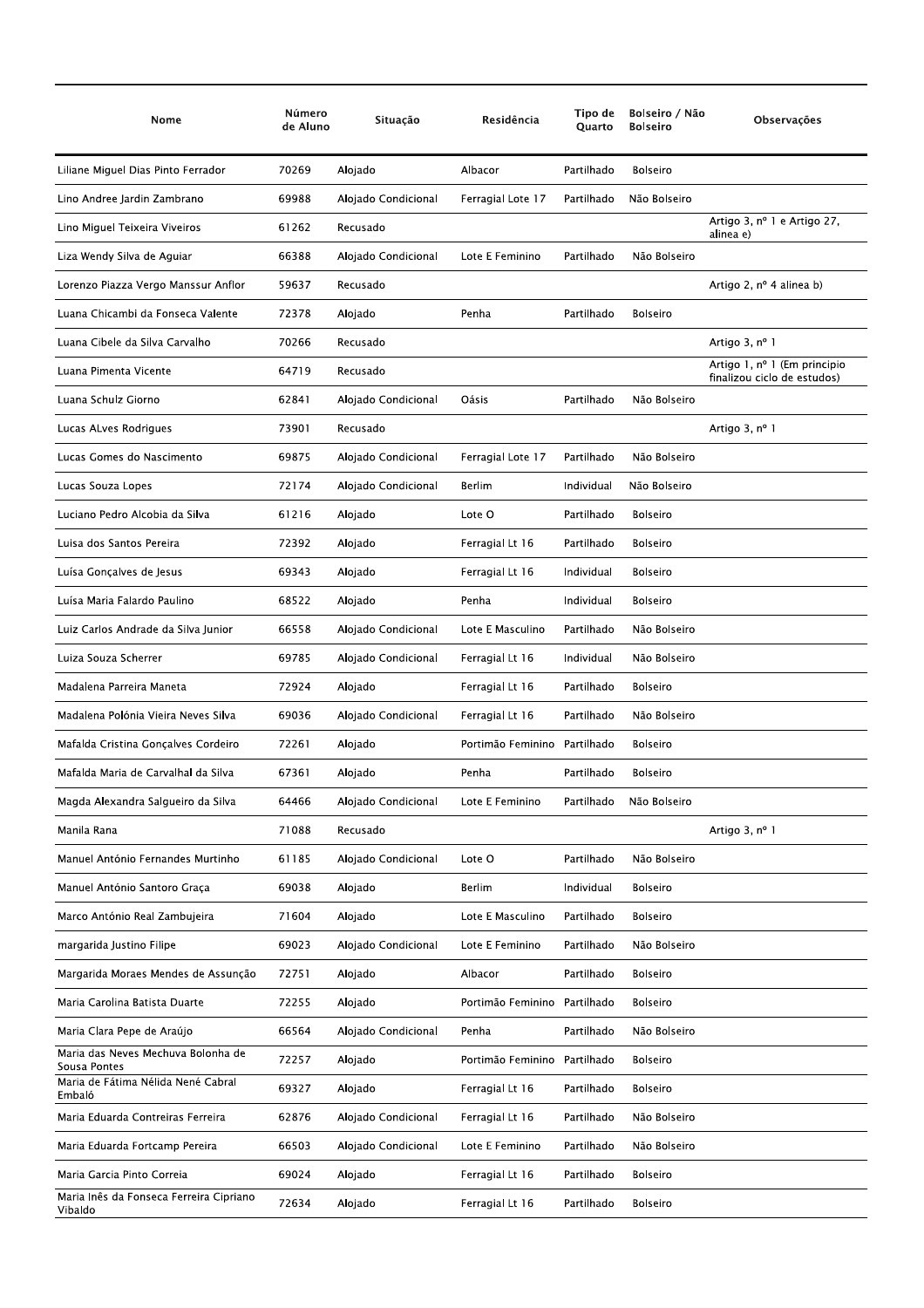| Nome                                               | Número<br>de Aluno | Situação            | Residência        | Tipo de<br>Quarto | Bolseiro / Não<br><b>Bolseiro</b> | Observações                                                 |
|----------------------------------------------------|--------------------|---------------------|-------------------|-------------------|-----------------------------------|-------------------------------------------------------------|
| Liliane Miguel Dias Pinto Ferrador                 | 70269              | Alojado             | Albacor           | Partilhado        | <b>Bolseiro</b>                   |                                                             |
| Lino Andree Jardin Zambrano                        | 69988              | Alojado Condicional | Ferragial Lote 17 | Partilhado        | Não Bolseiro                      |                                                             |
| Lino Miguel Teixeira Viveiros                      | 61262              | Recusado            |                   |                   |                                   | Artigo 3, nº 1 e Artigo 27,<br>alinea e)                    |
| Liza Wendy Silva de Aguiar                         | 66388              | Alojado Condicional | Lote E Feminino   | Partilhado        | Não Bolseiro                      |                                                             |
| Lorenzo Piazza Vergo Manssur Anflor                | 59637              | Recusado            |                   |                   |                                   | Artigo 2, nº 4 alinea b)                                    |
| Luana Chicambi da Fonseca Valente                  | 72378              | Alojado             | Penha             | Partilhado        | <b>Bolseiro</b>                   |                                                             |
| Luana Cibele da Silva Carvalho                     | 70266              | Recusado            |                   |                   |                                   | Artigo 3, nº 1                                              |
| Luana Pimenta Vicente                              | 64719              | Recusado            |                   |                   |                                   | Artigo 1, nº 1 (Em principio<br>finalizou ciclo de estudos) |
| Luana Schulz Giorno                                | 62841              | Alojado Condicional | Oásis             | Partilhado        | Não Bolseiro                      |                                                             |
| Lucas ALves Rodrigues                              | 73901              | Recusado            |                   |                   |                                   | Artigo 3, nº 1                                              |
| Lucas Gomes do Nascimento                          | 69875              | Alojado Condicional | Ferragial Lote 17 | Partilhado        | Não Bolseiro                      |                                                             |
| Lucas Souza Lopes                                  | 72174              | Alojado Condicional | <b>Berlim</b>     | Individual        | Não Bolseiro                      |                                                             |
| Luciano Pedro Alcobia da Silva                     | 61216              | Alojado             | Lote O            | Partilhado        | <b>Bolseiro</b>                   |                                                             |
| Luisa dos Santos Pereira                           | 72392              | Alojado             | Ferragial Lt 16   | Partilhado        | <b>Bolseiro</b>                   |                                                             |
| Luísa Gonçalves de Jesus                           | 69343              | Alojado             | Ferragial Lt 16   | Individual        | <b>Bolseiro</b>                   |                                                             |
| Luísa Maria Falardo Paulino                        | 68522              | Alojado             | Penha             | Individual        | <b>Bolseiro</b>                   |                                                             |
| Luiz Carlos Andrade da Silva Junior                | 66558              | Alojado Condicional | Lote E Masculino  | Partilhado        | Não Bolseiro                      |                                                             |
| Luiza Souza Scherrer                               | 69785              | Alojado Condicional | Ferragial Lt 16   | Individual        | Não Bolseiro                      |                                                             |
| Madalena Parreira Maneta                           | 72924              | Alojado             | Ferragial Lt 16   | Partilhado        | <b>Bolseiro</b>                   |                                                             |
| Madalena Polónia Vieira Neves Silva                | 69036              | Alojado Condicional | Ferragial Lt 16   | Partilhado        | Não Bolseiro                      |                                                             |
| Mafalda Cristina Gonçalves Cordeiro                | 72261              | Alojado             | Portimão Feminino | Partilhado        | <b>Bolseiro</b>                   |                                                             |
| Mafalda Maria de Carvalhal da Silva                | 67361              | Alojado             | Penha             | Partilhado        | <b>Bolseiro</b>                   |                                                             |
| Magda Alexandra Salgueiro da Silva                 | 64466              | Alojado Condicional | Lote E Feminino   | Partilhado        | Não Bolseiro                      |                                                             |
| Manila Rana                                        | 71088              | Recusado            |                   |                   |                                   | Artigo 3, nº 1                                              |
| Manuel António Fernandes Murtinho                  | 61185              | Alojado Condicional | Lote O            | Partilhado        | Não Bolseiro                      |                                                             |
| Manuel António Santoro Graça                       | 69038              | Alojado             | <b>Berlim</b>     | Individual        | <b>Bolseiro</b>                   |                                                             |
| Marco António Real Zambujeira                      | 71604              | Alojado             | Lote E Masculino  | Partilhado        | <b>Bolseiro</b>                   |                                                             |
| margarida Justino Filipe                           | 69023              | Alojado Condicional | Lote E Feminino   | Partilhado        | Não Bolseiro                      |                                                             |
| Margarida Moraes Mendes de Assunção                | 72751              | Alojado             | Albacor           | Partilhado        | Bolseiro                          |                                                             |
| Maria Carolina Batista Duarte                      | 72255              | Alojado             | Portimão Feminino | Partilhado        | Bolseiro                          |                                                             |
| Maria Clara Pepe de Araújo                         | 66564              | Alojado Condicional | Penha             | Partilhado        | Não Bolseiro                      |                                                             |
| Maria das Neves Mechuva Bolonha de<br>Sousa Pontes | 72257              | Alojado             | Portimão Feminino | Partilhado        | Bolseiro                          |                                                             |
| Maria de Fátima Nélida Nené Cabral<br>Embaló       | 69327              | Alojado             | Ferragial Lt 16   | Partilhado        | <b>Bolseiro</b>                   |                                                             |
| Maria Eduarda Contreiras Ferreira                  | 62876              | Alojado Condicional | Ferragial Lt 16   | Partilhado        | Não Bolseiro                      |                                                             |
| Maria Eduarda Fortcamp Pereira                     | 66503              | Alojado Condicional | Lote E Feminino   | Partilhado        | Não Bolseiro                      |                                                             |
| Maria Garcia Pinto Correia                         | 69024              | Alojado             | Ferragial Lt 16   | Partilhado        | Bolseiro                          |                                                             |
| Maria Inês da Fonseca Ferreira Cipriano<br>Vibaldo | 72634              | Alojado             | Ferragial Lt 16   | Partilhado        | <b>Bolseiro</b>                   |                                                             |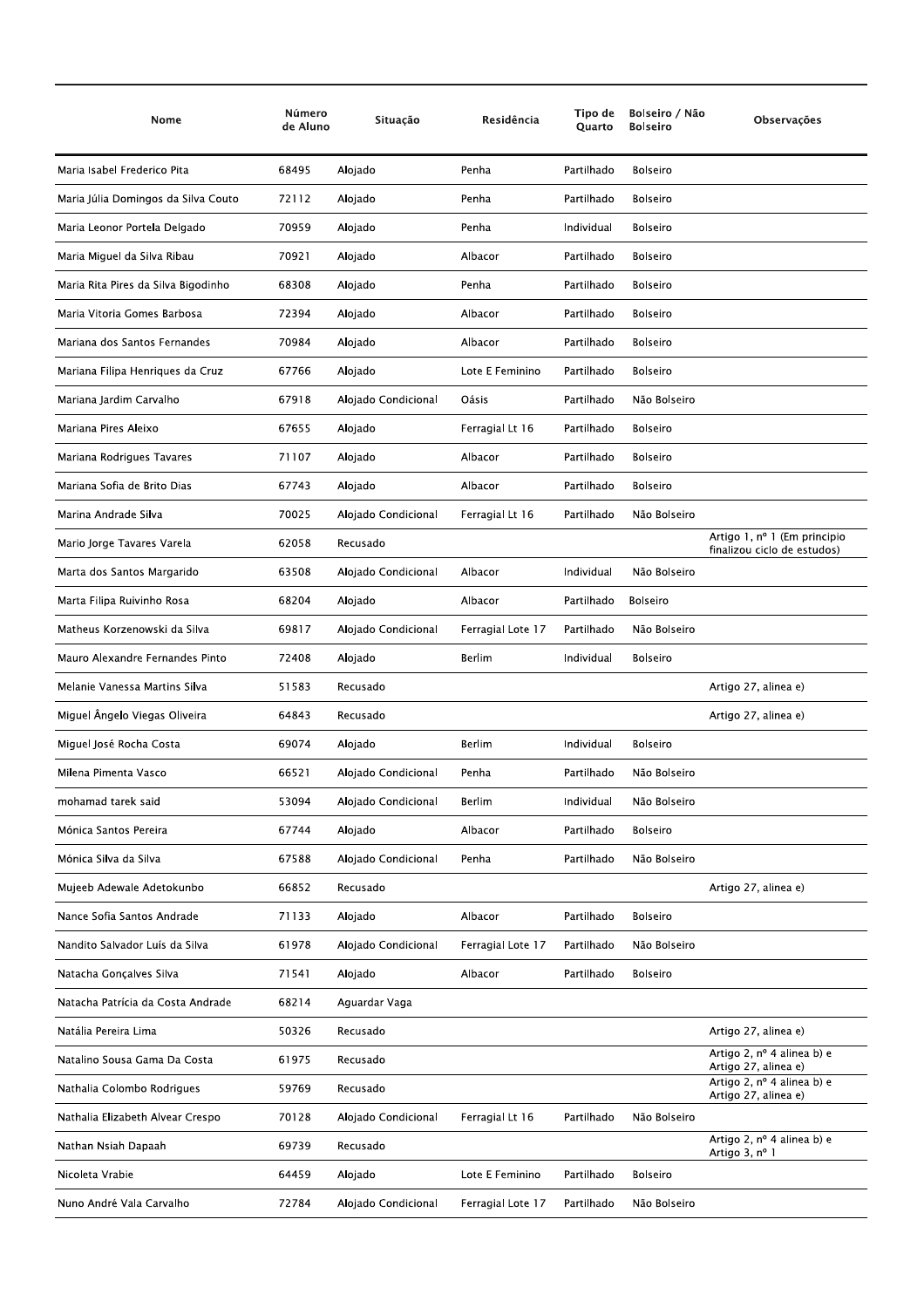| Nome                                | Número<br>de Aluno | Situação            | Residência        | Tipo de<br>Quarto | Bolseiro / Não<br><b>Bolseiro</b> | Observações                                                 |
|-------------------------------------|--------------------|---------------------|-------------------|-------------------|-----------------------------------|-------------------------------------------------------------|
| Maria Isabel Frederico Pita         | 68495              | Alojado             | Penha             | Partilhado        | <b>Bolseiro</b>                   |                                                             |
| Maria Júlia Domingos da Silva Couto | 72112              | Alojado             | Penha             | Partilhado        | <b>Bolseiro</b>                   |                                                             |
| Maria Leonor Portela Delgado        | 70959              | Alojado             | Penha             | Individual        | <b>Bolseiro</b>                   |                                                             |
| Maria Miguel da Silva Ribau         | 70921              | Alojado             | Albacor           | Partilhado        | <b>Bolseiro</b>                   |                                                             |
| Maria Rita Pires da Silva Bigodinho | 68308              | Alojado             | Penha             | Partilhado        | <b>Bolseiro</b>                   |                                                             |
| Maria Vitoria Gomes Barbosa         | 72394              | Alojado             | Albacor           | Partilhado        | <b>Bolseiro</b>                   |                                                             |
| Mariana dos Santos Fernandes        | 70984              | Alojado             | Albacor           | Partilhado        | <b>Bolseiro</b>                   |                                                             |
| Mariana Filipa Henriques da Cruz    | 67766              | Alojado             | Lote E Feminino   | Partilhado        | <b>Bolseiro</b>                   |                                                             |
| Mariana Jardim Carvalho             | 67918              | Alojado Condicional | Oásis             | Partilhado        | Não Bolseiro                      |                                                             |
| Mariana Pires Aleixo                | 67655              | Alojado             | Ferragial Lt 16   | Partilhado        | <b>Bolseiro</b>                   |                                                             |
| Mariana Rodrigues Tavares           | 71107              | Alojado             | Albacor           | Partilhado        | Bolseiro                          |                                                             |
| Mariana Sofia de Brito Dias         | 67743              | Alojado             | Albacor           | Partilhado        | <b>Bolseiro</b>                   |                                                             |
| Marina Andrade Silva                | 70025              | Alojado Condicional | Ferragial Lt 16   | Partilhado        | Não Bolseiro                      |                                                             |
| Mario Jorge Tavares Varela          | 62058              | Recusado            |                   |                   |                                   | Artigo 1, nº 1 (Em principio<br>finalizou ciclo de estudos) |
| Marta dos Santos Margarido          | 63508              | Alojado Condicional | Albacor           | Individual        | Não Bolseiro                      |                                                             |
| Marta Filipa Ruivinho Rosa          | 68204              | Alojado             | Albacor           | Partilhado        | <b>Bolseiro</b>                   |                                                             |
| Matheus Korzenowski da Silva        | 69817              | Alojado Condicional | Ferragial Lote 17 | Partilhado        | Não Bolseiro                      |                                                             |
| Mauro Alexandre Fernandes Pinto     | 72408              | Alojado             | Berlim            | Individual        | <b>Bolseiro</b>                   |                                                             |
| Melanie Vanessa Martins Silva       | 51583              | Recusado            |                   |                   |                                   | Artigo 27, alinea e)                                        |
| Miguel Ângelo Viegas Oliveira       | 64843              | Recusado            |                   |                   |                                   | Artigo 27, alinea e)                                        |
| Miguel José Rocha Costa             | 69074              | Alojado             | Berlim            | Individual        | <b>Bolseiro</b>                   |                                                             |
| Milena Pimenta Vasco                | 66521              | Alojado Condicional | Penha             | Partilhado        | Não Bolseiro                      |                                                             |
| mohamad tarek said                  | 53094              | Alojado Condicional | Berlim            | Individual        | Não Bolseiro                      |                                                             |
| Mónica Santos Pereira               | 67744              | Alojado             | Albacor           | Partilhado        | Bolseiro                          |                                                             |
| Mónica Silva da Silva               | 67588              | Alojado Condicional | Penha             | Partilhado        | Não Bolseiro                      |                                                             |
| Mujeeb Adewale Adetokunbo           | 66852              | Recusado            |                   |                   |                                   | Artigo 27, alinea e)                                        |
| Nance Sofia Santos Andrade          | 71133              | Alojado             | Albacor           | Partilhado        | <b>Bolseiro</b>                   |                                                             |
| Nandito Salvador Luís da Silva      | 61978              | Alojado Condicional | Ferragial Lote 17 | Partilhado        | Não Bolseiro                      |                                                             |
| Natacha Gonçalves Silva             | 71541              | Alojado             | Albacor           | Partilhado        | <b>Bolseiro</b>                   |                                                             |
| Natacha Patrícia da Costa Andrade   | 68214              | Aguardar Vaga       |                   |                   |                                   |                                                             |
| Natália Pereira Lima                | 50326              | Recusado            |                   |                   |                                   | Artigo 27, alinea e)                                        |
| Natalino Sousa Gama Da Costa        | 61975              | Recusado            |                   |                   |                                   | Artigo 2, nº 4 alinea b) e<br>Artigo 27, alinea e)          |
| Nathalia Colombo Rodrigues          | 59769              | Recusado            |                   |                   |                                   | Artigo 2, nº 4 alinea b) e<br>Artigo 27, alinea e)          |
| Nathalia Elizabeth Alvear Crespo    | 70128              | Alojado Condicional | Ferragial Lt 16   | Partilhado        | Não Bolseiro                      |                                                             |
| Nathan Nsiah Dapaah                 | 69739              | Recusado            |                   |                   |                                   | Artigo 2, nº 4 alinea b) e<br>Artigo 3, nº 1                |
| Nicoleta Vrabie                     | 64459              | Alojado             | Lote E Feminino   | Partilhado        | Bolseiro                          |                                                             |
| Nuno André Vala Carvalho            | 72784              | Alojado Condicional | Ferragial Lote 17 | Partilhado        | Não Bolseiro                      |                                                             |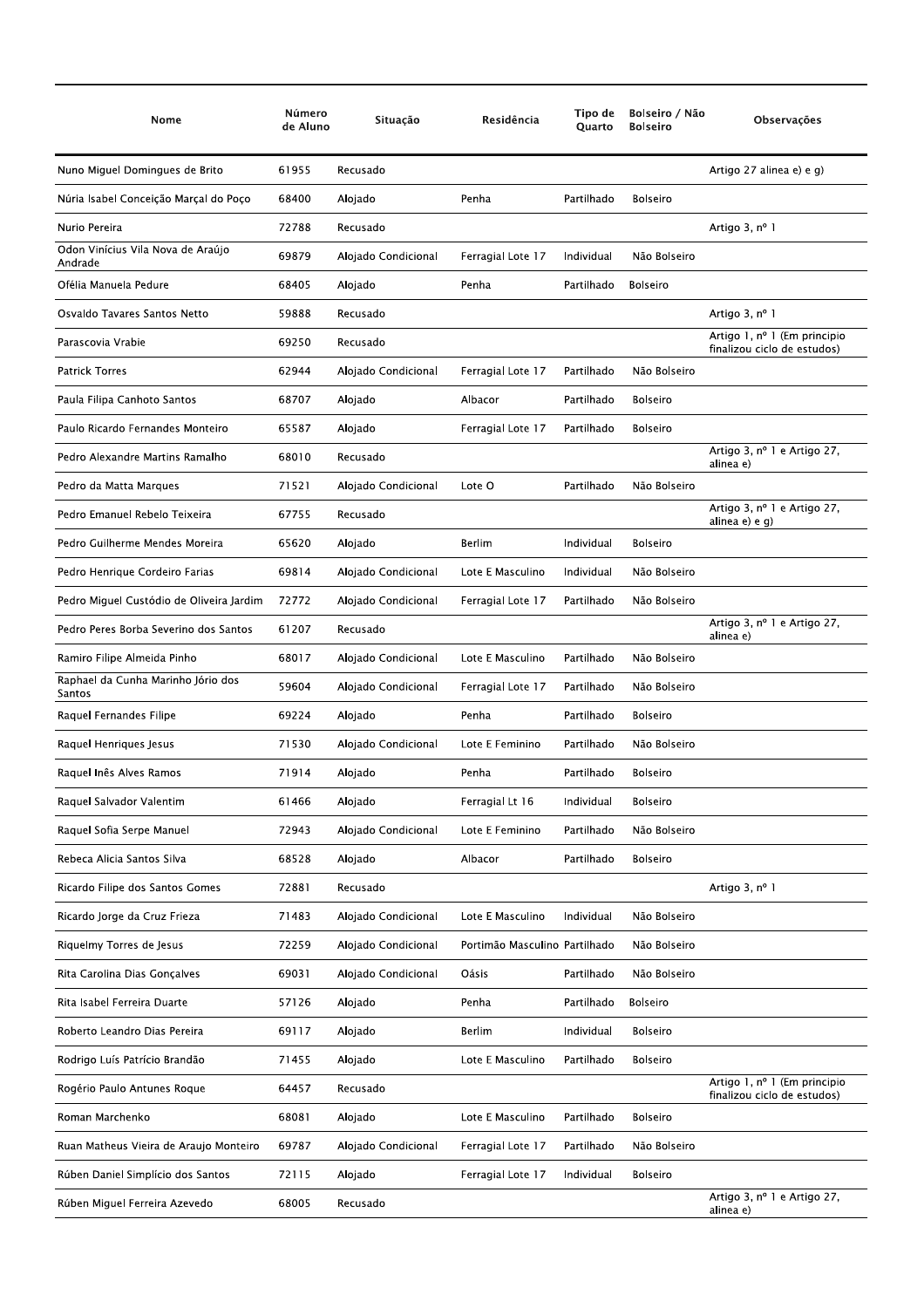| Nome                                         | Número<br>de Aluno | Situação            | Residência                    | Tipo de<br><b>Ouarto</b> | Bolseiro / Não<br><b>Bolseiro</b> | Observações                                                 |
|----------------------------------------------|--------------------|---------------------|-------------------------------|--------------------------|-----------------------------------|-------------------------------------------------------------|
| Nuno Miguel Domingues de Brito               | 61955              | Recusado            |                               |                          |                                   | Artigo 27 alinea e) e g)                                    |
| Núria Isabel Conceição Marçal do Poço        | 68400              | Alojado             | Penha                         | Partilhado               | <b>Bolseiro</b>                   |                                                             |
| Nurio Pereira                                | 72788              | Recusado            |                               |                          |                                   | Artigo 3, nº 1                                              |
| Odon Vinícius Vila Nova de Araújo<br>Andrade | 69879              | Alojado Condicional | Ferragial Lote 17             | Individual               | Não Bolseiro                      |                                                             |
| Ofélia Manuela Pedure                        | 68405              | Alojado             | Penha                         | Partilhado               | <b>Bolseiro</b>                   |                                                             |
| Osvaldo Tavares Santos Netto                 | 59888              | Recusado            |                               |                          |                                   | Artigo 3, nº 1                                              |
| Parascovia Vrabie                            | 69250              | Recusado            |                               |                          |                                   | Artigo 1, nº 1 (Em principio<br>finalizou ciclo de estudos) |
| <b>Patrick Torres</b>                        | 62944              | Alojado Condicional | Ferragial Lote 17             | Partilhado               | Não Bolseiro                      |                                                             |
| Paula Filipa Canhoto Santos                  | 68707              | Alojado             | Albacor                       | Partilhado               | <b>Bolseiro</b>                   |                                                             |
| Paulo Ricardo Fernandes Monteiro             | 65587              | Alojado             | Ferragial Lote 17             | Partilhado               | <b>Bolseiro</b>                   |                                                             |
| Pedro Alexandre Martins Ramalho              | 68010              | Recusado            |                               |                          |                                   | Artigo 3, nº 1 e Artigo 27,<br>alinea e)                    |
| Pedro da Matta Marques                       | 71521              | Alojado Condicional | Lote O                        | Partilhado               | Não Bolseiro                      |                                                             |
| Pedro Emanuel Rebelo Teixeira                | 67755              | Recusado            |                               |                          |                                   | Artigo 3, nº 1 e Artigo 27,<br>alinea e) e g)               |
| Pedro Guilherme Mendes Moreira               | 65620              | Alojado             | Berlim                        | Individual               | Bolseiro                          |                                                             |
| Pedro Henrique Cordeiro Farias               | 69814              | Alojado Condicional | Lote E Masculino              | Individual               | Não Bolseiro                      |                                                             |
| Pedro Miguel Custódio de Oliveira Jardim     | 72772              | Alojado Condicional | Ferragial Lote 17             | Partilhado               | Não Bolseiro                      |                                                             |
| Pedro Peres Borba Severino dos Santos        | 61207              | Recusado            |                               |                          |                                   | Artigo 3, nº 1 e Artigo 27,<br>alinea e)                    |
| Ramiro Filipe Almeida Pinho                  | 68017              | Alojado Condicional | Lote E Masculino              | Partilhado               | Não Bolseiro                      |                                                             |
| Raphael da Cunha Marinho Jório dos<br>Santos | 59604              | Alojado Condicional | Ferragial Lote 17             | Partilhado               | Não Bolseiro                      |                                                             |
| Raquel Fernandes Filipe                      | 69224              | Alojado             | Penha                         | Partilhado               | <b>Bolseiro</b>                   |                                                             |
| Raquel Henriques Jesus                       | 71530              | Alojado Condicional | Lote E Feminino               | Partilhado               | Não Bolseiro                      |                                                             |
| Raquel Inês Alves Ramos                      | 71914              | Alojado             | Penha                         | Partilhado               | <b>Bolseiro</b>                   |                                                             |
| Raquel Salvador Valentim                     | 61466              | Alojado             | Ferragial Lt 16               | Individual               | <b>Bolseiro</b>                   |                                                             |
| Raquel Sofia Serpe Manuel                    | 72943              | Alojado Condicional | Lote E Feminino               | Partilhado               | Não Bolseiro                      |                                                             |
| Rebeca Alicia Santos Silva                   | 68528              | Alojado             | Albacor                       | Partilhado               | <b>Bolseiro</b>                   |                                                             |
| Ricardo Filipe dos Santos Gomes              | 72881              | Recusado            |                               |                          |                                   | Artigo 3, nº 1                                              |
| Ricardo Jorge da Cruz Frieza                 | 71483              | Alojado Condicional | Lote E Masculino              | Individual               | Não Bolseiro                      |                                                             |
| Riquelmy Torres de Jesus                     | 72259              | Alojado Condicional | Portimão Masculino Partilhado |                          | Não Bolseiro                      |                                                             |
| Rita Carolina Dias Gonçalves                 | 69031              | Alojado Condicional | Oásis                         | Partilhado               | Não Bolseiro                      |                                                             |
| Rita Isabel Ferreira Duarte                  | 57126              | Alojado             | Penha                         | Partilhado               | <b>Bolseiro</b>                   |                                                             |
| Roberto Leandro Dias Pereira                 | 69117              | Alojado             | <b>Berlim</b>                 | Individual               | <b>Bolseiro</b>                   |                                                             |
| Rodrigo Luís Patrício Brandão                | 71455              | Alojado             | Lote E Masculino              | Partilhado               | <b>Bolseiro</b>                   |                                                             |
| Rogério Paulo Antunes Roque                  | 64457              | Recusado            |                               |                          |                                   | Artigo 1, nº 1 (Em principio<br>finalizou ciclo de estudos) |
| Roman Marchenko                              | 68081              | Alojado             | Lote E Masculino              | Partilhado               | Bolseiro                          |                                                             |
| Ruan Matheus Vieira de Araujo Monteiro       | 69787              | Alojado Condicional | Ferragial Lote 17             | Partilhado               | Não Bolseiro                      |                                                             |
| Rúben Daniel Simplício dos Santos            | 72115              | Alojado             | Ferragial Lote 17             | Individual               | Bolseiro                          |                                                             |
| Rúben Miguel Ferreira Azevedo                | 68005              | Recusado            |                               |                          |                                   | Artigo 3, nº 1 e Artigo 27,<br>alinea e)                    |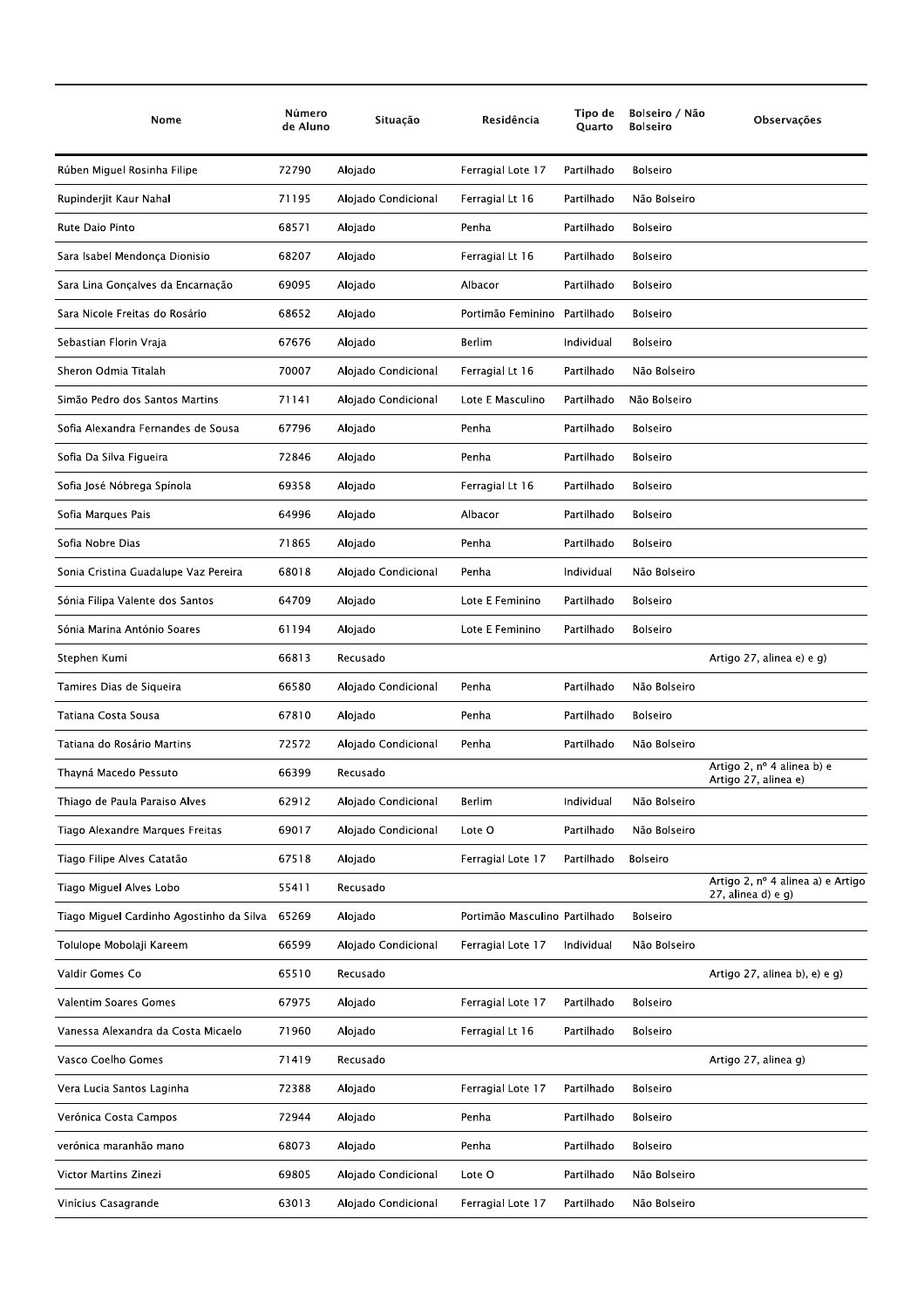| Nome                                     | Número<br>de Aluno | Situação            | Residência                    | Tipo de<br>Quarto | Bolseiro / Não<br><b>Bolseiro</b> | Observações                                                |
|------------------------------------------|--------------------|---------------------|-------------------------------|-------------------|-----------------------------------|------------------------------------------------------------|
| Rúben Miguel Rosinha Filipe              | 72790              | Alojado             | Ferragial Lote 17             | Partilhado        | <b>Bolseiro</b>                   |                                                            |
| Rupinderjit Kaur Nahal                   | 71195              | Alojado Condicional | Ferragial Lt 16               | Partilhado        | Não Bolseiro                      |                                                            |
| Rute Daio Pinto                          | 68571              | Alojado             | Penha                         | Partilhado        | <b>Bolseiro</b>                   |                                                            |
| Sara Isabel Mendonça Dionisio            | 68207              | Alojado             | Ferragial Lt 16               | Partilhado        | <b>Bolseiro</b>                   |                                                            |
| Sara Lina Gonçalves da Encarnação        | 69095              | Alojado             | Albacor                       | Partilhado        | <b>Bolseiro</b>                   |                                                            |
| Sara Nicole Freitas do Rosário           | 68652              | Alojado             | Portimão Feminino             | Partilhado        | <b>Bolseiro</b>                   |                                                            |
| Sebastian Florin Vraja                   | 67676              | Alojado             | Berlim                        | Individual        | Bolseiro                          |                                                            |
| Sheron Odmia Titalah                     | 70007              | Alojado Condicional | Ferragial Lt 16               | Partilhado        | Não Bolseiro                      |                                                            |
| Simão Pedro dos Santos Martins           | 71141              | Alojado Condicional | Lote E Masculino              | Partilhado        | Não Bolseiro                      |                                                            |
| Sofia Alexandra Fernandes de Sousa       | 67796              | Alojado             | Penha                         | Partilhado        | <b>Bolseiro</b>                   |                                                            |
| Sofia Da Silva Figueira                  | 72846              | Alojado             | Penha                         | Partilhado        | <b>Bolseiro</b>                   |                                                            |
| Sofia José Nóbrega Spínola               | 69358              | Alojado             | Ferragial Lt 16               | Partilhado        | <b>Bolseiro</b>                   |                                                            |
| Sofia Marques Pais                       | 64996              | Alojado             | Albacor                       | Partilhado        | <b>Bolseiro</b>                   |                                                            |
| Sofia Nobre Dias                         | 71865              | Alojado             | Penha                         | Partilhado        | <b>Bolseiro</b>                   |                                                            |
| Sonia Cristina Guadalupe Vaz Pereira     | 68018              | Alojado Condicional | Penha                         | Individual        | Não Bolseiro                      |                                                            |
| Sónia Filipa Valente dos Santos          | 64709              | Alojado             | Lote E Feminino               | Partilhado        | <b>Bolseiro</b>                   |                                                            |
| Sónia Marina António Soares              | 61194              | Alojado             | Lote E Feminino               | Partilhado        | <b>Bolseiro</b>                   |                                                            |
| Stephen Kumi                             | 66813              | Recusado            |                               |                   |                                   | Artigo 27, alinea e) e g)                                  |
| Tamires Dias de Siqueira                 | 66580              | Alojado Condicional | Penha                         | Partilhado        | Não Bolseiro                      |                                                            |
| Tatiana Costa Sousa                      | 67810              | Alojado             | Penha                         | Partilhado        | <b>Bolseiro</b>                   |                                                            |
| Tatiana do Rosário Martins               | 72572              | Alojado Condicional | Penha                         | Partilhado        | Não Bolseiro                      |                                                            |
| Thayná Macedo Pessuto                    | 66399              | Recusado            |                               |                   |                                   | Artigo 2, nº 4 alinea b) e<br>Artigo 27, alinea e)         |
| Thiago de Paula Paraiso Alves            | 62912              | Alojado Condicional | Berlim                        | Individual        | Não Bolseiro                      |                                                            |
| Tiago Alexandre Marques Freitas          | 69017              | Alojado Condicional | Lote O                        | Partilhado        | Não Bolseiro                      |                                                            |
| Tiago Filipe Alves Catatão               | 67518              | Alojado             | Ferragial Lote 17             | Partilhado        | Bolseiro                          |                                                            |
| Tiago Miguel Alves Lobo                  | 55411              | Recusado            |                               |                   |                                   | Artigo 2, nº 4 alinea a) e Artigo<br>$27$ , alinea d) e q) |
| Tiago Miguel Cardinho Agostinho da Silva | 65269              | Alojado             | Portimão Masculino Partilhado |                   | <b>Bolseiro</b>                   |                                                            |
| Tolulope Mobolaji Kareem                 | 66599              | Alojado Condicional | Ferragial Lote 17             | Individual        | Não Bolseiro                      |                                                            |
| Valdir Gomes Co                          | 65510              | Recusado            |                               |                   |                                   | Artigo 27, alinea b), e) e g)                              |
| Valentim Soares Gomes                    | 67975              | Alojado             | Ferragial Lote 17             | Partilhado        | Bolseiro                          |                                                            |
| Vanessa Alexandra da Costa Micaelo       | 71960              | Alojado             | Ferragial Lt 16               | Partilhado        | <b>Bolseiro</b>                   |                                                            |
| Vasco Coelho Gomes                       | 71419              | Recusado            |                               |                   |                                   | Artigo 27, alinea g)                                       |
| Vera Lucia Santos Laginha                | 72388              | Alojado             | Ferragial Lote 17             | Partilhado        | Bolseiro                          |                                                            |
| Verónica Costa Campos                    | 72944              | Alojado             | Penha                         | Partilhado        | Bolseiro                          |                                                            |
| verónica maranhão mano                   | 68073              | Alojado             | Penha                         | Partilhado        | Bolseiro                          |                                                            |
| Victor Martins Zinezi                    | 69805              | Alojado Condicional | Lote O                        | Partilhado        | Não Bolseiro                      |                                                            |
| Vinícius Casagrande                      | 63013              | Alojado Condicional | Ferragial Lote 17             | Partilhado        | Não Bolseiro                      |                                                            |